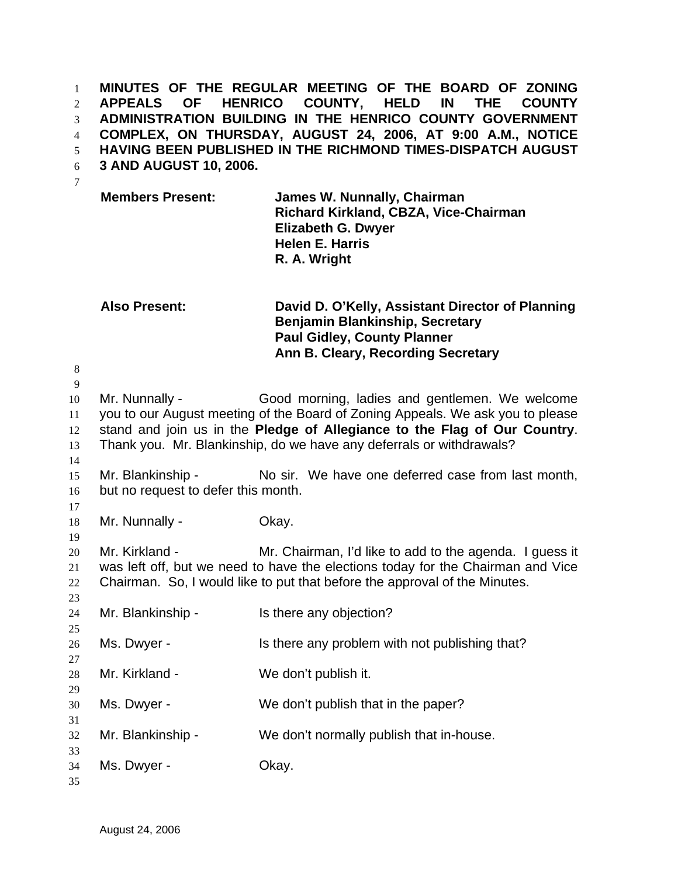**MINUTES OF THE REGULAR MEETING OF THE BOARD OF ZONING APPEALS OF HENRICO COUNTY, HELD IN THE COUNTY ADMINISTRATION BUILDING IN THE HENRICO COUNTY GOVERNMENT COMPLEX, ON THURSDAY, AUGUST 24, 2006, AT 9:00 A.M., NOTICE HAVING BEEN PUBLISHED IN THE RICHMOND TIMES-DISPATCH AUGUST 3 AND AUGUST 10, 2006.**  1 2 3 4 5

- 6
- 7

**Members Present: James W. Nunnally, Chairman Richard Kirkland, CBZA, Vice-Chairman Elizabeth G. Dwyer Helen E. Harris R. A. Wright** 

## **Also Present: David D. O'Kelly, Assistant Director of Planning Benjamin Blankinship, Secretary Paul Gidley, County Planner Ann B. Cleary, Recording Secretary**

8 9 10 11 12 13 14 15 16 17 18 19 20 21 22 23 24 25 26 27 28 29 30 31 32 33 34 35 Mr. Nunnally - Good morning, ladies and gentlemen. We welcome you to our August meeting of the Board of Zoning Appeals. We ask you to please stand and join us in the **Pledge of Allegiance to the Flag of Our Country**. Thank you. Mr. Blankinship, do we have any deferrals or withdrawals? Mr. Blankinship - No sir. We have one deferred case from last month, but no request to defer this month. Mr. Nunnally - Chay. Mr. Kirkland - Mr. Chairman, I'd like to add to the agenda. I guess it was left off, but we need to have the elections today for the Chairman and Vice Chairman. So, I would like to put that before the approval of the Minutes. Mr. Blankinship - Is there any objection? Ms. Dwyer - Is there any problem with not publishing that? Mr. Kirkland - We don't publish it. Ms. Dwyer - We don't publish that in the paper? Mr. Blankinship - We don't normally publish that in-house. Ms. Dwyer - Chay.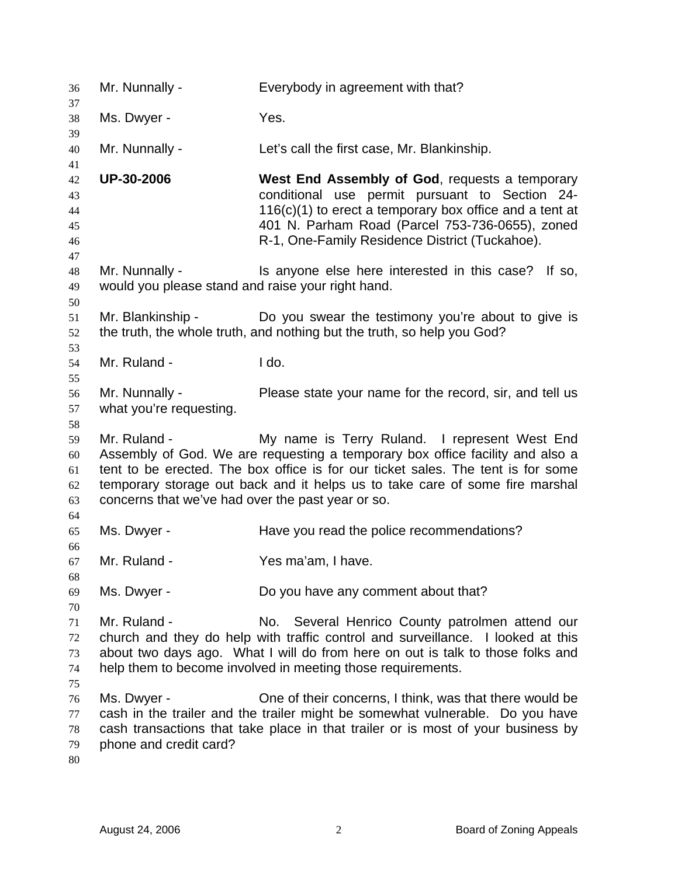| 36                               | Mr. Nunnally -                                                      | Everybody in agreement with that?                                                                                                                                                                                                                                                                  |
|----------------------------------|---------------------------------------------------------------------|----------------------------------------------------------------------------------------------------------------------------------------------------------------------------------------------------------------------------------------------------------------------------------------------------|
| 37<br>38<br>39                   | Ms. Dwyer -                                                         | Yes.                                                                                                                                                                                                                                                                                               |
| 40<br>41                         | Mr. Nunnally -                                                      | Let's call the first case, Mr. Blankinship.                                                                                                                                                                                                                                                        |
| 42<br>43<br>44<br>45<br>46<br>47 | <b>UP-30-2006</b>                                                   | West End Assembly of God, requests a temporary<br>conditional use permit pursuant to Section 24-<br>116(c)(1) to erect a temporary box office and a tent at<br>401 N. Parham Road (Parcel 753-736-0655), zoned<br>R-1, One-Family Residence District (Tuckahoe).                                   |
| 48<br>49<br>50                   | Mr. Nunnally -<br>would you please stand and raise your right hand. | Is anyone else here interested in this case? If so,                                                                                                                                                                                                                                                |
| 51<br>52<br>53                   | Mr. Blankinship -                                                   | Do you swear the testimony you're about to give is<br>the truth, the whole truth, and nothing but the truth, so help you God?                                                                                                                                                                      |
| 54<br>55                         | Mr. Ruland -                                                        | I do.                                                                                                                                                                                                                                                                                              |
| 56<br>57<br>58                   | Mr. Nunnally -<br>what you're requesting.                           | Please state your name for the record, sir, and tell us                                                                                                                                                                                                                                            |
| 59<br>60<br>61<br>62<br>63       | Mr. Ruland -<br>concerns that we've had over the past year or so.   | My name is Terry Ruland. I represent West End<br>Assembly of God. We are requesting a temporary box office facility and also a<br>tent to be erected. The box office is for our ticket sales. The tent is for some<br>temporary storage out back and it helps us to take care of some fire marshal |
| 64<br>65<br>66                   | Ms. Dwyer -                                                         | Have you read the police recommendations?                                                                                                                                                                                                                                                          |
| 67<br>68                         | Mr. Ruland -                                                        | Yes ma'am, I have.                                                                                                                                                                                                                                                                                 |
| 69<br>70                         | Ms. Dwyer -                                                         | Do you have any comment about that?                                                                                                                                                                                                                                                                |
| 71<br>72<br>73<br>74<br>75       | Mr. Ruland -                                                        | No. Several Henrico County patrolmen attend our<br>church and they do help with traffic control and surveillance. I looked at this<br>about two days ago. What I will do from here on out is talk to those folks and<br>help them to become involved in meeting those requirements.                |
| 76<br>77<br>78<br>79<br>80       | Ms. Dwyer -<br>phone and credit card?                               | One of their concerns, I think, was that there would be<br>cash in the trailer and the trailer might be somewhat vulnerable. Do you have<br>cash transactions that take place in that trailer or is most of your business by                                                                       |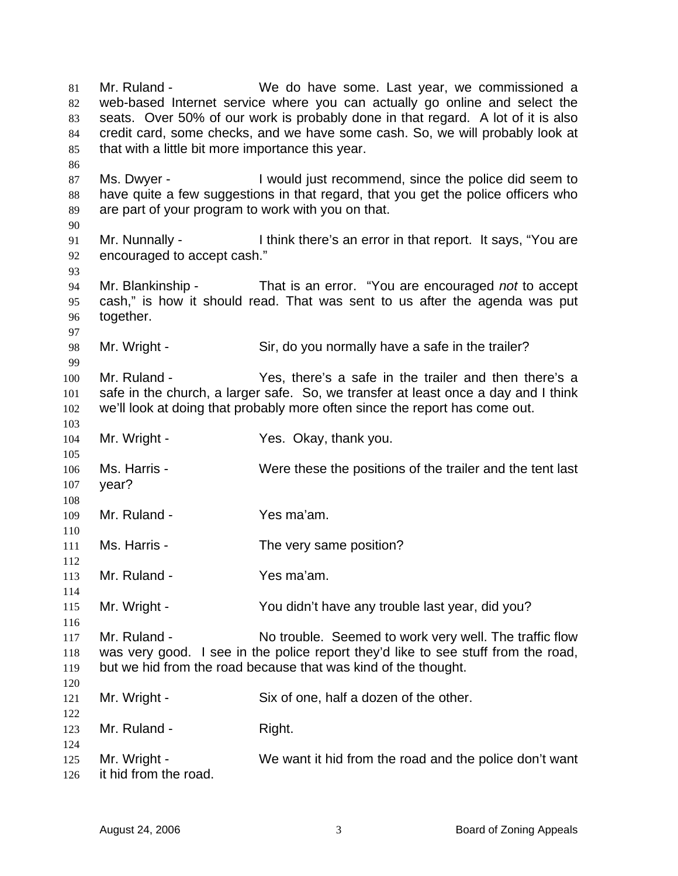Mr. Ruland - We do have some. Last year, we commissioned a web-based Internet service where you can actually go online and select the seats. Over 50% of our work is probably done in that regard. A lot of it is also credit card, some checks, and we have some cash. So, we will probably look at that with a little bit more importance this year. 81 82 83 84 85 86 87 88 89 90 91 92 93 94 95 96 97 98 99 100 101 102 103 104 105 106 107 108 109 110 111 112 113 114 115 116 117 118 119 120 121 122 123 124 125 126 Ms. Dwyer - I would just recommend, since the police did seem to have quite a few suggestions in that regard, that you get the police officers who are part of your program to work with you on that. Mr. Nunnally - Ithink there's an error in that report. It says, "You are encouraged to accept cash." Mr. Blankinship - That is an error. "You are encouraged *not* to accept cash," is how it should read. That was sent to us after the agenda was put together. Mr. Wright - Sir, do you normally have a safe in the trailer? Mr. Ruland - Yes, there's a safe in the trailer and then there's a safe in the church, a larger safe. So, we transfer at least once a day and I think we'll look at doing that probably more often since the report has come out. Mr. Wright - The Yes. Okay, thank you. Ms. Harris - Were these the positions of the trailer and the tent last year? Mr. Ruland - Yes ma'am. Ms. Harris - The very same position? Mr. Ruland - The Yes ma'am. Mr. Wright - You didn't have any trouble last year, did you? Mr. Ruland - No trouble. Seemed to work very well. The traffic flow was very good. I see in the police report they'd like to see stuff from the road, but we hid from the road because that was kind of the thought. Mr. Wright - Six of one, half a dozen of the other. Mr. Ruland - Right. Mr. Wright - We want it hid from the road and the police don't want it hid from the road.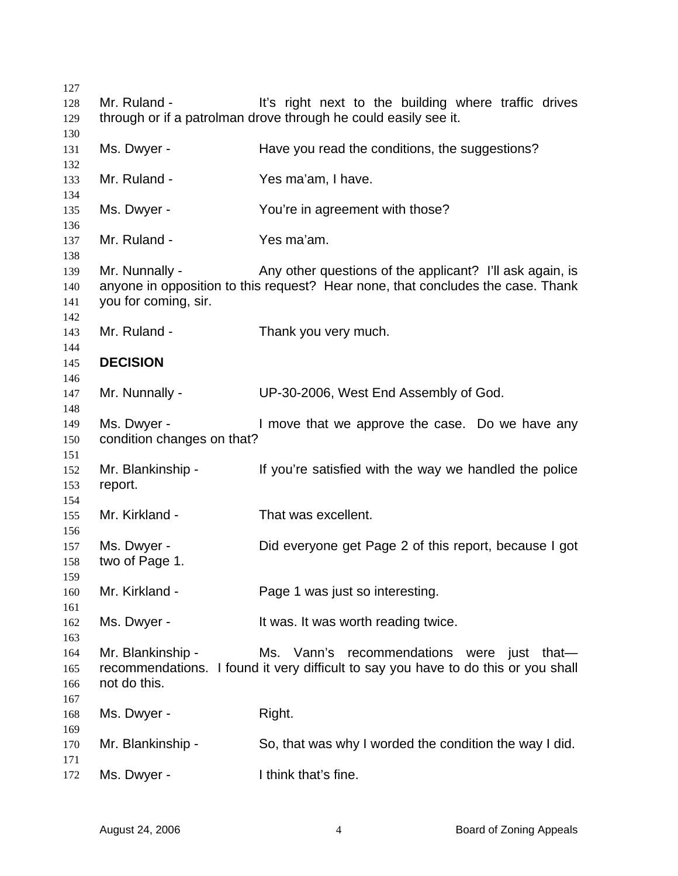| 127        |                            |                                                                                    |
|------------|----------------------------|------------------------------------------------------------------------------------|
| 128        | Mr. Ruland -               | It's right next to the building where traffic drives                               |
| 129        |                            | through or if a patrolman drove through he could easily see it.                    |
| 130        |                            |                                                                                    |
| 131        | Ms. Dwyer -                | Have you read the conditions, the suggestions?                                     |
| 132        |                            |                                                                                    |
| 133        | Mr. Ruland -               | Yes ma'am, I have.                                                                 |
| 134        |                            |                                                                                    |
| 135        | Ms. Dwyer -                | You're in agreement with those?                                                    |
| 136        |                            |                                                                                    |
| 137        | Mr. Ruland -               | Yes ma'am.                                                                         |
| 138        |                            |                                                                                    |
| 139        | Mr. Nunnally -             | Any other questions of the applicant? I'll ask again, is                           |
| 140        |                            | anyone in opposition to this request? Hear none, that concludes the case. Thank    |
| 141        | you for coming, sir.       |                                                                                    |
| 142        | Mr. Ruland -               |                                                                                    |
| 143        |                            | Thank you very much.                                                               |
| 144        | <b>DECISION</b>            |                                                                                    |
| 145        |                            |                                                                                    |
| 146<br>147 | Mr. Nunnally -             | UP-30-2006, West End Assembly of God.                                              |
| 148        |                            |                                                                                    |
| 149        | Ms. Dwyer -                | I move that we approve the case. Do we have any                                    |
| 150        | condition changes on that? |                                                                                    |
| 151        |                            |                                                                                    |
| 152        | Mr. Blankinship -          | If you're satisfied with the way we handled the police                             |
| 153        | report.                    |                                                                                    |
| 154        |                            |                                                                                    |
| 155        | Mr. Kirkland -             | That was excellent.                                                                |
| 156        |                            |                                                                                    |
| 157        | Ms. Dwyer -                | Did everyone get Page 2 of this report, because I got                              |
| 158        | two of Page 1.             |                                                                                    |
| 159        |                            |                                                                                    |
| 160        | Mr. Kirkland -             | Page 1 was just so interesting.                                                    |
| 161        |                            |                                                                                    |
| 162        | Ms. Dwyer -                | It was. It was worth reading twice.                                                |
| 163        |                            |                                                                                    |
| 164        | Mr. Blankinship -          | Ms. Vann's recommendations were just that-                                         |
| 165        |                            | recommendations. I found it very difficult to say you have to do this or you shall |
| 166        | not do this.               |                                                                                    |
| 167        |                            |                                                                                    |
| 168        | Ms. Dwyer -                | Right.                                                                             |
| 169        |                            |                                                                                    |
| 170        | Mr. Blankinship -          | So, that was why I worded the condition the way I did.                             |
| 171        |                            |                                                                                    |
| 172        | Ms. Dwyer -                | I think that's fine.                                                               |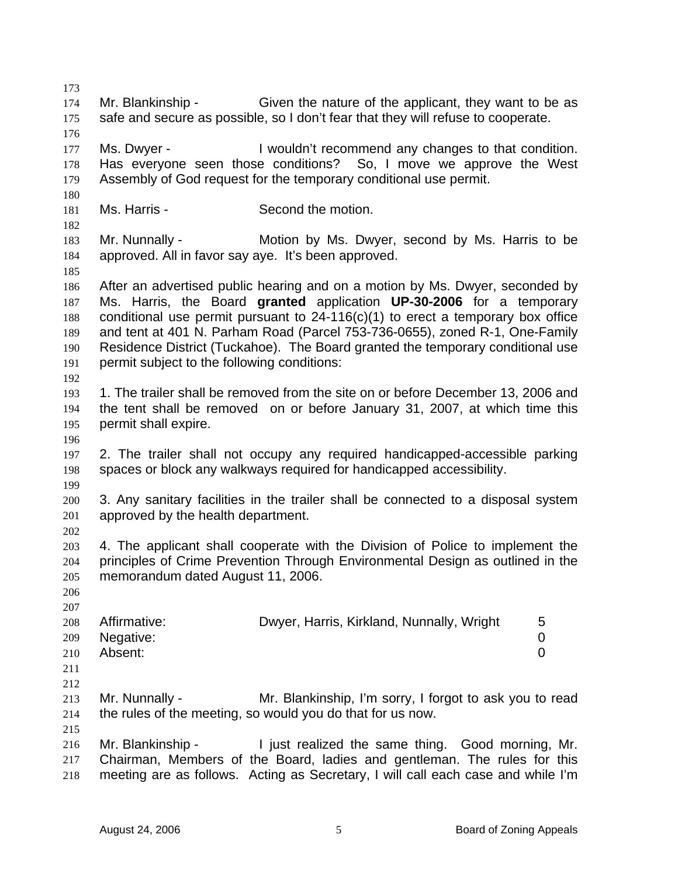173 174 175 176 177 178 179 180 181 182 183 184 185 186 187 188 189 190 191 192 193 194 195 196 197 198 199 200 201 202 203 204 205 206 207 208 209 210 211 212 213 214 215 216 217 218 Mr. Blankinship - Given the nature of the applicant, they want to be as safe and secure as possible, so I don't fear that they will refuse to cooperate. Ms. Dwyer - I wouldn't recommend any changes to that condition. Has everyone seen those conditions? So, I move we approve the West Assembly of God request for the temporary conditional use permit. Ms. Harris - Second the motion. Mr. Nunnally - **Motion by Ms. Dwyer, second by Ms. Harris to be** approved. All in favor say aye. It's been approved. After an advertised public hearing and on a motion by Ms. Dwyer, seconded by Ms. Harris, the Board **granted** application **UP-30-2006** for a temporary conditional use permit pursuant to 24-116(c)(1) to erect a temporary box office and tent at 401 N. Parham Road (Parcel 753-736-0655), zoned R-1, One-Family Residence District (Tuckahoe). The Board granted the temporary conditional use permit subject to the following conditions: 1. The trailer shall be removed from the site on or before December 13, 2006 and the tent shall be removed on or before January 31, 2007, at which time this permit shall expire. 2. The trailer shall not occupy any required handicapped-accessible parking spaces or block any walkways required for handicapped accessibility. 3. Any sanitary facilities in the trailer shall be connected to a disposal system approved by the health department. 4. The applicant shall cooperate with the Division of Police to implement the principles of Crime Prevention Through Environmental Design as outlined in the memorandum dated August 11, 2006. Affirmative: **Dwyer, Harris, Kirkland, Nunnally, Wright** 5 Negative: 0 Absent: 0 Mr. Nunnally - Mr. Blankinship, I'm sorry, I forgot to ask you to read the rules of the meeting, so would you do that for us now. Mr. Blankinship - I just realized the same thing. Good morning, Mr. Chairman, Members of the Board, ladies and gentleman. The rules for this meeting are as follows. Acting as Secretary, I will call each case and while I'm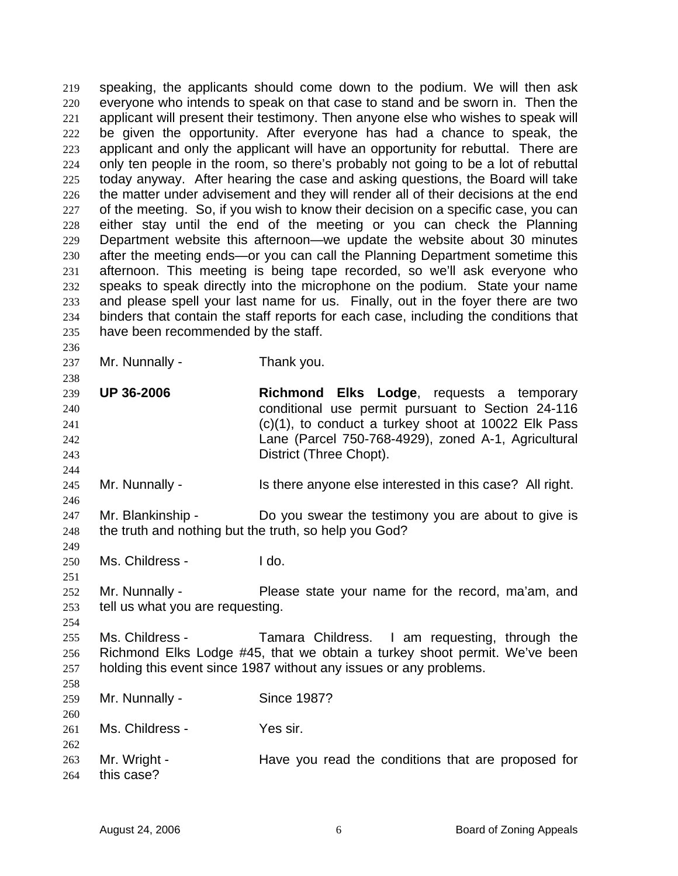speaking, the applicants should come down to the podium. We will then ask everyone who intends to speak on that case to stand and be sworn in. Then the applicant will present their testimony. Then anyone else who wishes to speak will be given the opportunity. After everyone has had a chance to speak, the applicant and only the applicant will have an opportunity for rebuttal. There are only ten people in the room, so there's probably not going to be a lot of rebuttal today anyway. After hearing the case and asking questions, the Board will take the matter under advisement and they will render all of their decisions at the end of the meeting. So, if you wish to know their decision on a specific case, you can either stay until the end of the meeting or you can check the Planning Department website this afternoon—we update the website about 30 minutes after the meeting ends—or you can call the Planning Department sometime this afternoon. This meeting is being tape recorded, so we'll ask everyone who speaks to speak directly into the microphone on the podium. State your name and please spell your last name for us. Finally, out in the foyer there are two binders that contain the staff reports for each case, including the conditions that have been recommended by the staff. 219 220 221 222 223 224 225 226 227 228 229 230 231 232 233 234 235

237

236

238

244

246

249

251

254

Mr. Nunnally - Thank you.

239 240 241 242 243 **UP 36-2006 Richmond Elks Lodge**, requests a temporary conditional use permit pursuant to Section 24-116 (c)(1), to conduct a turkey shoot at 10022 Elk Pass Lane (Parcel 750-768-4929), zoned A-1, Agricultural District (Three Chopt).

245 Mr. Nunnally - Is there anyone else interested in this case? All right.

247 248 Mr. Blankinship - Do you swear the testimony you are about to give is the truth and nothing but the truth, so help you God?

- 250 Ms. Childress - I do.
- 252 253 Mr. Nunnally - Please state your name for the record, ma'am, and tell us what you are requesting.

255 256 257 Ms. Childress - Tamara Childress. I am requesting, through the Richmond Elks Lodge #45, that we obtain a turkey shoot permit. We've been holding this event since 1987 without any issues or any problems.

| 258 |                 |                                                    |
|-----|-----------------|----------------------------------------------------|
| 259 | Mr. Nunnally -  | Since 1987?                                        |
| 260 |                 |                                                    |
| 261 | Ms. Childress - | Yes sir.                                           |
| 262 |                 |                                                    |
| 263 | Mr. Wright -    | Have you read the conditions that are proposed for |
| 264 | this case?      |                                                    |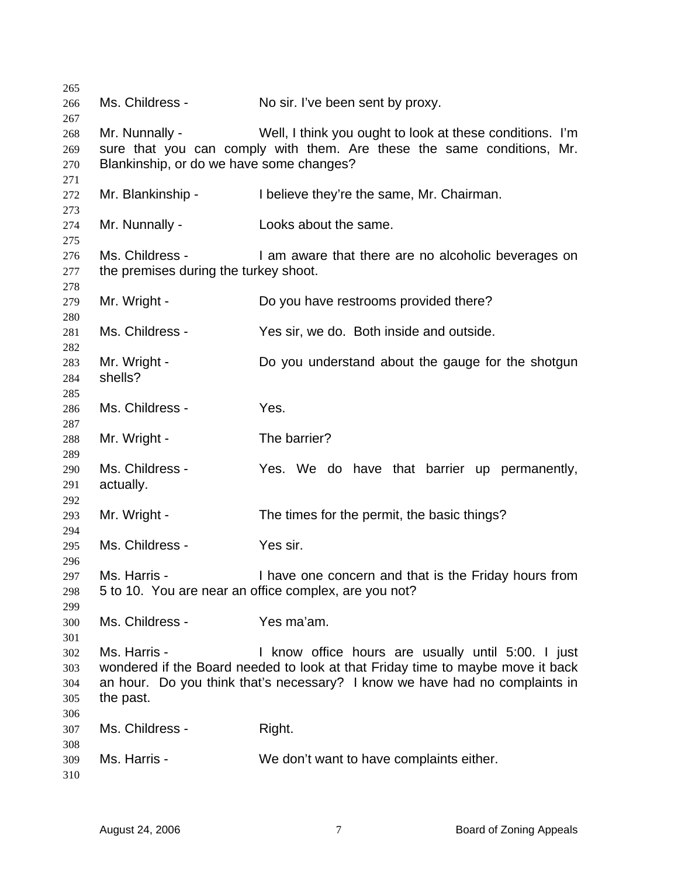| 265 |                                          |                                                                                |
|-----|------------------------------------------|--------------------------------------------------------------------------------|
| 266 | Ms. Childress -                          | No sir. I've been sent by proxy.                                               |
| 267 |                                          |                                                                                |
| 268 | Mr. Nunnally -                           | Well, I think you ought to look at these conditions. I'm                       |
| 269 |                                          | sure that you can comply with them. Are these the same conditions, Mr.         |
| 270 | Blankinship, or do we have some changes? |                                                                                |
| 271 |                                          |                                                                                |
| 272 | Mr. Blankinship -                        | I believe they're the same, Mr. Chairman.                                      |
| 273 |                                          |                                                                                |
| 274 | Mr. Nunnally -                           | Looks about the same.                                                          |
| 275 |                                          |                                                                                |
| 276 | Ms. Childress -                          | I am aware that there are no alcoholic beverages on                            |
| 277 | the premises during the turkey shoot.    |                                                                                |
| 278 |                                          |                                                                                |
| 279 | Mr. Wright -                             | Do you have restrooms provided there?                                          |
| 280 |                                          |                                                                                |
| 281 | Ms. Childress -                          | Yes sir, we do. Both inside and outside.                                       |
| 282 |                                          |                                                                                |
| 283 | Mr. Wright -                             | Do you understand about the gauge for the shotgun                              |
| 284 | shells?                                  |                                                                                |
| 285 |                                          |                                                                                |
| 286 | Ms. Childress -                          | Yes.                                                                           |
| 287 |                                          |                                                                                |
| 288 | Mr. Wright -                             | The barrier?                                                                   |
| 289 |                                          |                                                                                |
| 290 | Ms. Childress -                          | Yes. We do have that barrier up permanently,                                   |
| 291 | actually.                                |                                                                                |
| 292 |                                          |                                                                                |
| 293 | Mr. Wright -                             | The times for the permit, the basic things?                                    |
| 294 |                                          |                                                                                |
| 295 | Ms. Childress -                          | Yes sir.                                                                       |
| 296 |                                          |                                                                                |
| 297 | Ms. Harris -                             | I have one concern and that is the Friday hours from                           |
| 298 |                                          | 5 to 10. You are near an office complex, are you not?                          |
| 299 |                                          |                                                                                |
| 300 | Ms. Childress -                          | Yes ma'am.                                                                     |
| 301 |                                          |                                                                                |
| 302 | Ms. Harris -                             | I know office hours are usually until 5:00. I just                             |
| 303 |                                          | wondered if the Board needed to look at that Friday time to maybe move it back |
| 304 |                                          | an hour. Do you think that's necessary? I know we have had no complaints in    |
| 305 | the past.                                |                                                                                |
| 306 |                                          |                                                                                |
| 307 | Ms. Childress -                          | Right.                                                                         |
| 308 |                                          |                                                                                |
| 309 | Ms. Harris -                             | We don't want to have complaints either.                                       |
| 310 |                                          |                                                                                |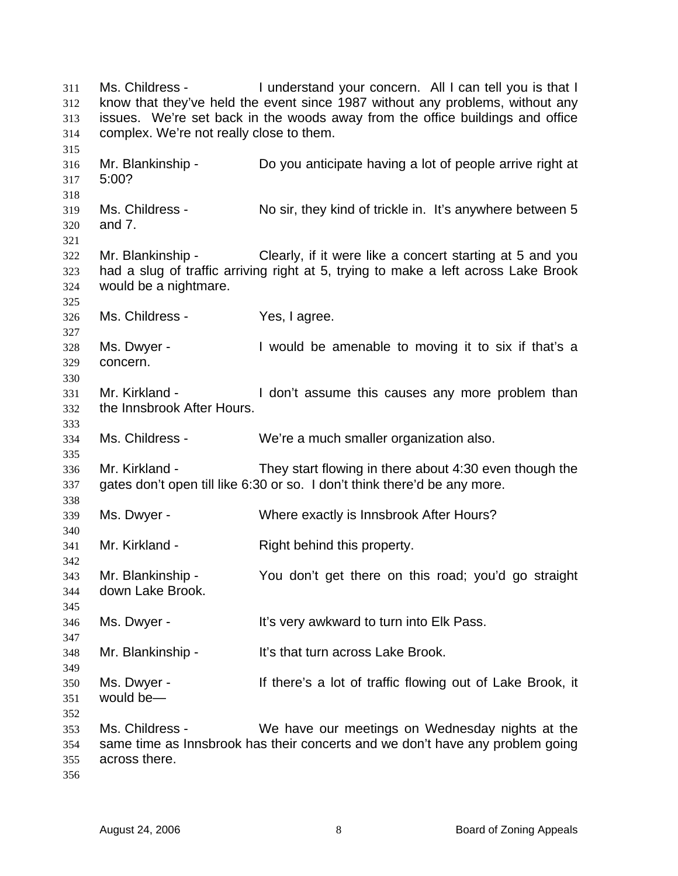Ms. Childress - I understand your concern. All I can tell you is that I know that they've held the event since 1987 without any problems, without any issues. We're set back in the woods away from the office buildings and office complex. We're not really close to them. 311 312 313 314 315 316 317 318 319 320 321 322 323 324 325 326 327 328 329 330 331 332 333 334 335 336 337 338 339 340 341 342 343 344 345 346 347 348 349 350 351 352 353 354 355 356 Mr. Blankinship - Do you anticipate having a lot of people arrive right at 5:00? Ms. Childress - No sir, they kind of trickle in. It's anywhere between 5 and 7. Mr. Blankinship - Clearly, if it were like a concert starting at 5 and you had a slug of traffic arriving right at 5, trying to make a left across Lake Brook would be a nightmare. Ms. Childress - Yes, I agree. Ms. Dwyer - Twould be amenable to moving it to six if that's a concern. Mr. Kirkland - The I don't assume this causes any more problem than the Innsbrook After Hours. Ms. Childress - We're a much smaller organization also. Mr. Kirkland - They start flowing in there about 4:30 even though the gates don't open till like 6:30 or so. I don't think there'd be any more. Ms. Dwyer - Where exactly is Innsbrook After Hours? Mr. Kirkland - Right behind this property. Mr. Blankinship - You don't get there on this road; you'd go straight down Lake Brook. Ms. Dwyer - It's very awkward to turn into Elk Pass. Mr. Blankinship - It's that turn across Lake Brook. Ms. Dwyer - There's a lot of traffic flowing out of Lake Brook, it would be— Ms. Childress - We have our meetings on Wednesday nights at the same time as Innsbrook has their concerts and we don't have any problem going across there.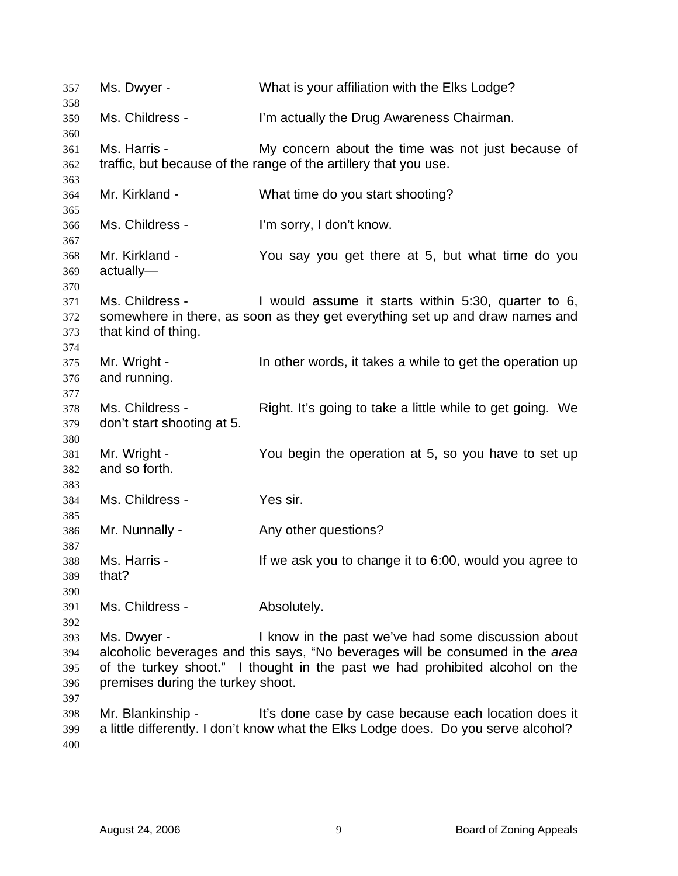Ms. Dwyer - What is your affiliation with the Elks Lodge? Ms. Childress - I'm actually the Drug Awareness Chairman. Ms. Harris - My concern about the time was not just because of traffic, but because of the range of the artillery that you use. Mr. Kirkland - What time do you start shooting? Ms. Childress - I'm sorry, I don't know. Mr. Kirkland - You say you get there at 5, but what time do you actually— Ms. Childress - Twould assume it starts within 5:30, quarter to 6, somewhere in there, as soon as they get everything set up and draw names and that kind of thing. Mr. Wright - In other words, it takes a while to get the operation up and running. Ms. Childress - Right. It's going to take a little while to get going. We don't start shooting at 5. Mr. Wright - You begin the operation at 5, so you have to set up and so forth. Ms. Childress - Yes sir. Mr. Nunnally - Any other questions? Ms. Harris - If we ask you to change it to 6:00, would you agree to that? Ms. Childress - Absolutely. Ms. Dwyer - The I know in the past we've had some discussion about alcoholic beverages and this says, "No beverages will be consumed in the *area* of the turkey shoot." I thought in the past we had prohibited alcohol on the premises during the turkey shoot. Mr. Blankinship - It's done case by case because each location does it a little differently. I don't know what the Elks Lodge does. Do you serve alcohol?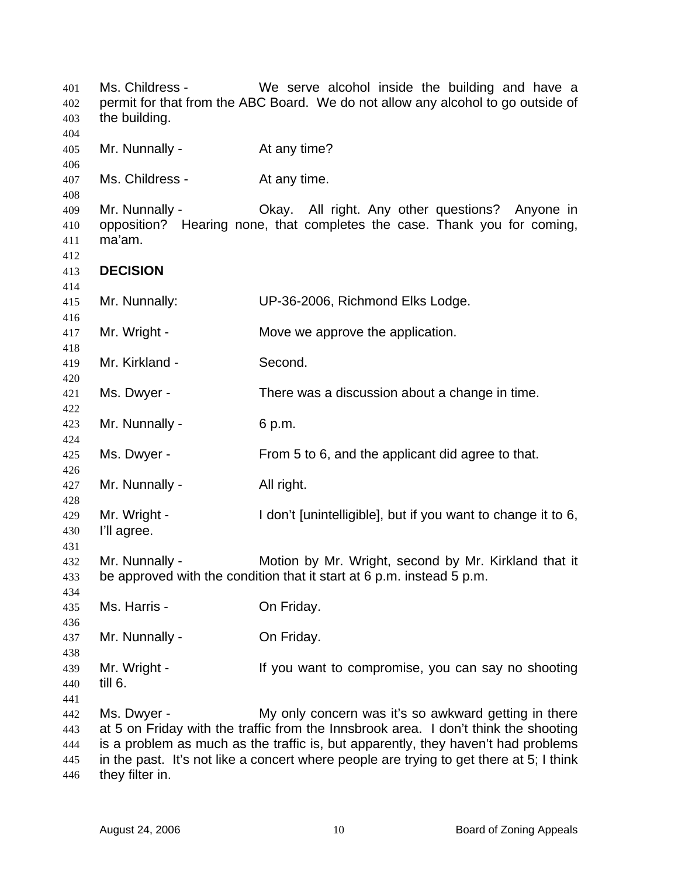Ms. Childress - We serve alcohol inside the building and have a permit for that from the ABC Board. We do not allow any alcohol to go outside of the building. Mr. Nunnally - At any time? Ms. Childress - At any time. Mr. Nunnally - Okay. All right. Any other questions? Anyone in opposition? Hearing none, that completes the case. Thank you for coming, ma'am. **DECISION**  Mr. Nunnally: UP-36-2006, Richmond Elks Lodge. Mr. Wright - Move we approve the application. Mr. Kirkland - Second. Ms. Dwyer - There was a discussion about a change in time. Mr. Nunnally - 6 p.m. Ms. Dwyer - From 5 to 6, and the applicant did agree to that. Mr. Nunnally - All right. Mr. Wright - I don't [unintelligible], but if you want to change it to 6, I'll agree. Mr. Nunnally - Motion by Mr. Wright, second by Mr. Kirkland that it be approved with the condition that it start at 6 p.m. instead 5 p.m. Ms. Harris - **On Friday.** Mr. Nunnally - **On Friday.** Mr. Wright - If you want to compromise, you can say no shooting till 6. Ms. Dwyer - My only concern was it's so awkward getting in there at 5 on Friday with the traffic from the Innsbrook area. I don't think the shooting is a problem as much as the traffic is, but apparently, they haven't had problems in the past. It's not like a concert where people are trying to get there at 5; I think they filter in.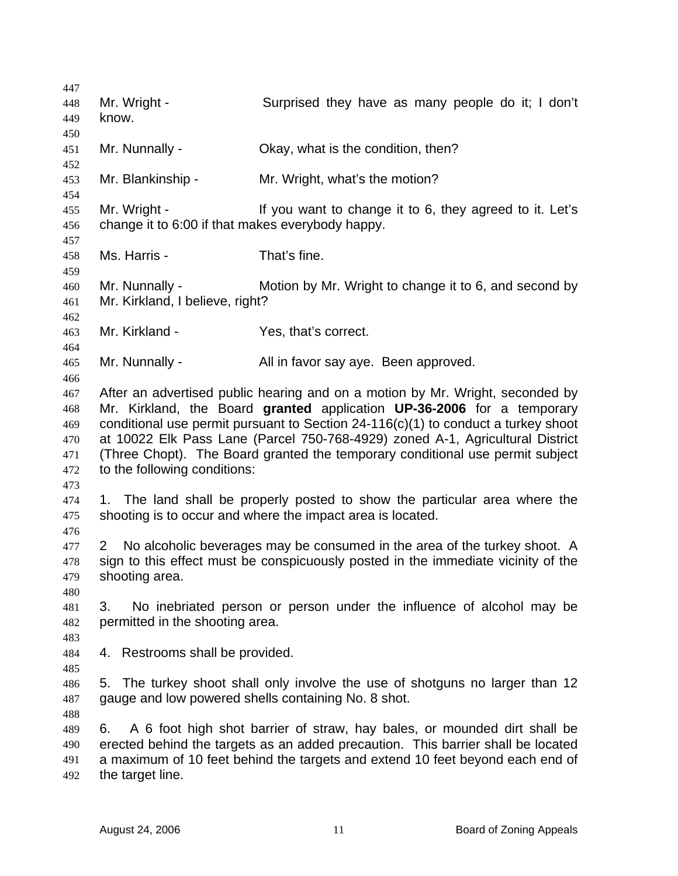447 448 449 450 451 452 453 454 455 456 457 458 459 460 461 462 463 464 465 466 467 468 469 470 471 472 473 474 475 476 477 478 479 480 481 482 483 484 485 486 487 488 489 490 491 492 Mr. Wright - Surprised they have as many people do it; I don't know. Mr. Nunnally - Ckay, what is the condition, then? Mr. Blankinship - Mr. Wright, what's the motion? Mr. Wright - The Mexic of the Vietnam Intervalse it to 6, they agreed to it. Let's change it to 6:00 if that makes everybody happy. Ms. Harris - That's fine. Mr. Nunnally - Motion by Mr. Wright to change it to 6, and second by Mr. Kirkland, I believe, right? Mr. Kirkland - Yes, that's correct. Mr. Nunnally - All in favor say aye. Been approved. After an advertised public hearing and on a motion by Mr. Wright, seconded by Mr. Kirkland, the Board **granted** application **UP-36-2006** for a temporary conditional use permit pursuant to Section 24-116(c)(1) to conduct a turkey shoot at 10022 Elk Pass Lane (Parcel 750-768-4929) zoned A-1, Agricultural District (Three Chopt). The Board granted the temporary conditional use permit subject to the following conditions: 1. The land shall be properly posted to show the particular area where the shooting is to occur and where the impact area is located. 2 No alcoholic beverages may be consumed in the area of the turkey shoot. A sign to this effect must be conspicuously posted in the immediate vicinity of the shooting area. 3. No inebriated person or person under the influence of alcohol may be permitted in the shooting area. 4. Restrooms shall be provided. 5. The turkey shoot shall only involve the use of shotguns no larger than 12 gauge and low powered shells containing No. 8 shot. 6. A 6 foot high shot barrier of straw, hay bales, or mounded dirt shall be erected behind the targets as an added precaution. This barrier shall be located a maximum of 10 feet behind the targets and extend 10 feet beyond each end of the target line.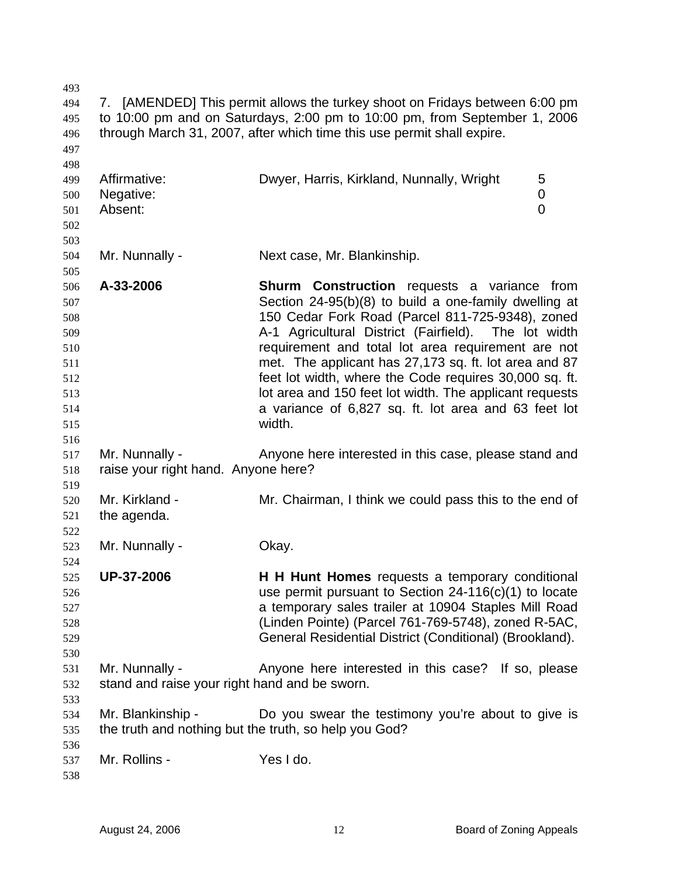| 493        |                                               |                                                                                                                                                          |
|------------|-----------------------------------------------|----------------------------------------------------------------------------------------------------------------------------------------------------------|
| 494<br>495 |                                               | 7. [AMENDED] This permit allows the turkey shoot on Fridays between 6:00 pm<br>to 10:00 pm and on Saturdays, 2:00 pm to 10:00 pm, from September 1, 2006 |
| 496        |                                               | through March 31, 2007, after which time this use permit shall expire.                                                                                   |
| 497        |                                               |                                                                                                                                                          |
| 498        |                                               |                                                                                                                                                          |
| 499        | Affirmative:                                  | Dwyer, Harris, Kirkland, Nunnally, Wright<br>5                                                                                                           |
| 500        | Negative:                                     | 0                                                                                                                                                        |
| 501        | Absent:                                       | 0                                                                                                                                                        |
| 502        |                                               |                                                                                                                                                          |
| 503        |                                               |                                                                                                                                                          |
| 504        | Mr. Nunnally -                                | Next case, Mr. Blankinship.                                                                                                                              |
| 505        |                                               |                                                                                                                                                          |
| 506        | A-33-2006                                     | Shurm Construction requests a variance from                                                                                                              |
| 507        |                                               | Section 24-95(b)(8) to build a one-family dwelling at                                                                                                    |
| 508        |                                               | 150 Cedar Fork Road (Parcel 811-725-9348), zoned                                                                                                         |
| 509        |                                               | A-1 Agricultural District (Fairfield). The lot width                                                                                                     |
| 510        |                                               | requirement and total lot area requirement are not                                                                                                       |
| 511        |                                               | met. The applicant has 27,173 sq. ft. lot area and 87                                                                                                    |
| 512        |                                               | feet lot width, where the Code requires 30,000 sq. ft.                                                                                                   |
| 513        |                                               | lot area and 150 feet lot width. The applicant requests                                                                                                  |
| 514        |                                               | a variance of 6,827 sq. ft. lot area and 63 feet lot                                                                                                     |
| 515        |                                               | width.                                                                                                                                                   |
| 516        |                                               |                                                                                                                                                          |
| 517        | Mr. Nunnally -                                | Anyone here interested in this case, please stand and                                                                                                    |
| 518        | raise your right hand. Anyone here?           |                                                                                                                                                          |
| 519        |                                               |                                                                                                                                                          |
| 520        | Mr. Kirkland -                                | Mr. Chairman, I think we could pass this to the end of                                                                                                   |
| 521        | the agenda.                                   |                                                                                                                                                          |
| 522        |                                               |                                                                                                                                                          |
| 523        | Mr. Nunnally -                                | Okay.                                                                                                                                                    |
| 524        | <b>UP-37-2006</b>                             |                                                                                                                                                          |
| 525        |                                               | <b>H H Hunt Homes</b> requests a temporary conditional<br>use permit pursuant to Section $24-116(c)(1)$ to locate                                        |
| 526        |                                               | a temporary sales trailer at 10904 Staples Mill Road                                                                                                     |
| 527<br>528 |                                               | (Linden Pointe) (Parcel 761-769-5748), zoned R-5AC,                                                                                                      |
| 529        |                                               | General Residential District (Conditional) (Brookland).                                                                                                  |
| 530        |                                               |                                                                                                                                                          |
| 531        | Mr. Nunnally -                                | Anyone here interested in this case? If so, please                                                                                                       |
| 532        | stand and raise your right hand and be sworn. |                                                                                                                                                          |
| 533        |                                               |                                                                                                                                                          |
| 534        | Mr. Blankinship -                             | Do you swear the testimony you're about to give is                                                                                                       |
| 535        |                                               | the truth and nothing but the truth, so help you God?                                                                                                    |
| 536        |                                               |                                                                                                                                                          |
| 537        | Mr. Rollins -                                 | Yes I do.                                                                                                                                                |
| 538        |                                               |                                                                                                                                                          |
|            |                                               |                                                                                                                                                          |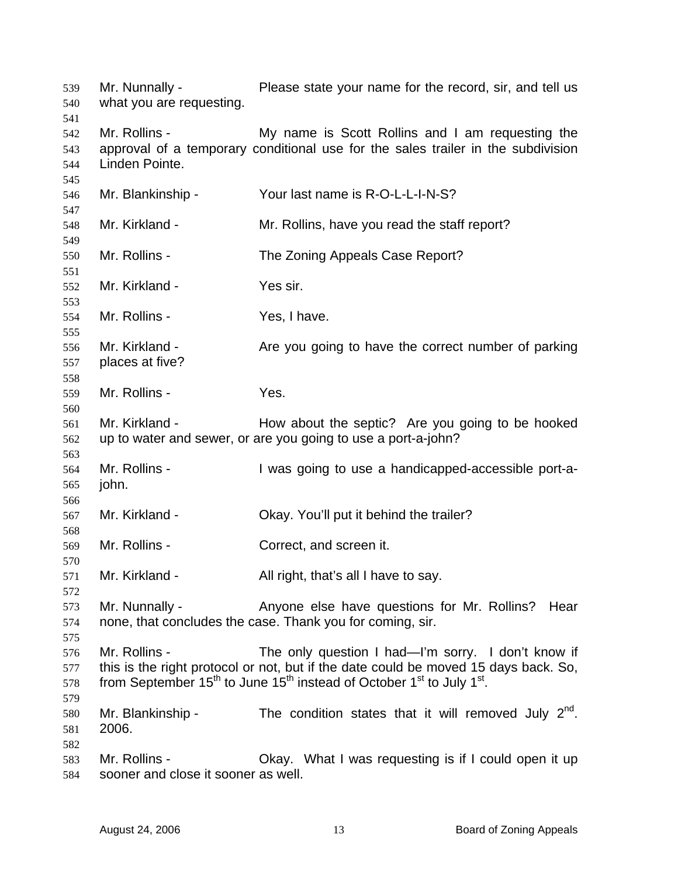| 539<br>540                      | Mr. Nunnally -<br>what you are requesting.           | Please state your name for the record, sir, and tell us                                                                                                                                                                                                            |
|---------------------------------|------------------------------------------------------|--------------------------------------------------------------------------------------------------------------------------------------------------------------------------------------------------------------------------------------------------------------------|
| 541<br>542<br>543<br>544<br>545 | Mr. Rollins -<br>Linden Pointe.                      | My name is Scott Rollins and I am requesting the<br>approval of a temporary conditional use for the sales trailer in the subdivision                                                                                                                               |
| 546<br>547                      | Mr. Blankinship -                                    | Your last name is R-O-L-L-I-N-S?                                                                                                                                                                                                                                   |
| 548<br>549                      | Mr. Kirkland -                                       | Mr. Rollins, have you read the staff report?                                                                                                                                                                                                                       |
| 550<br>551                      | Mr. Rollins -                                        | The Zoning Appeals Case Report?                                                                                                                                                                                                                                    |
| 552<br>553                      | Mr. Kirkland -                                       | Yes sir.                                                                                                                                                                                                                                                           |
| 554<br>555                      | Mr. Rollins -                                        | Yes, I have.                                                                                                                                                                                                                                                       |
| 556<br>557<br>558               | Mr. Kirkland -<br>places at five?                    | Are you going to have the correct number of parking                                                                                                                                                                                                                |
| 559<br>560                      | Mr. Rollins -                                        | Yes.                                                                                                                                                                                                                                                               |
| 561<br>562                      | Mr. Kirkland -                                       | How about the septic? Are you going to be hooked<br>up to water and sewer, or are you going to use a port-a-john?                                                                                                                                                  |
| 563<br>564<br>565               | Mr. Rollins -<br>john.                               | I was going to use a handicapped-accessible port-a-                                                                                                                                                                                                                |
| 566<br>567<br>568               | Mr. Kirkland -                                       | Okay. You'll put it behind the trailer?                                                                                                                                                                                                                            |
| 569<br>570                      | Mr. Rollins -                                        | Correct, and screen it.                                                                                                                                                                                                                                            |
| 571<br>572                      | Mr. Kirkland -                                       | All right, that's all I have to say.                                                                                                                                                                                                                               |
| 573<br>574<br>575               | Mr. Nunnally -                                       | Anyone else have questions for Mr. Rollins?<br>Hear<br>none, that concludes the case. Thank you for coming, sir.                                                                                                                                                   |
| 576<br>577<br>578<br>579        | Mr. Rollins -                                        | The only question I had—I'm sorry. I don't know if<br>this is the right protocol or not, but if the date could be moved 15 days back. So,<br>from September 15 <sup>th</sup> to June 15 <sup>th</sup> instead of October 1 <sup>st</sup> to July 1 <sup>st</sup> . |
| 580<br>581<br>582               | Mr. Blankinship -<br>2006.                           | The condition states that it will removed July $2^{nd}$ .                                                                                                                                                                                                          |
| 583<br>584                      | Mr. Rollins -<br>sooner and close it sooner as well. | Okay. What I was requesting is if I could open it up                                                                                                                                                                                                               |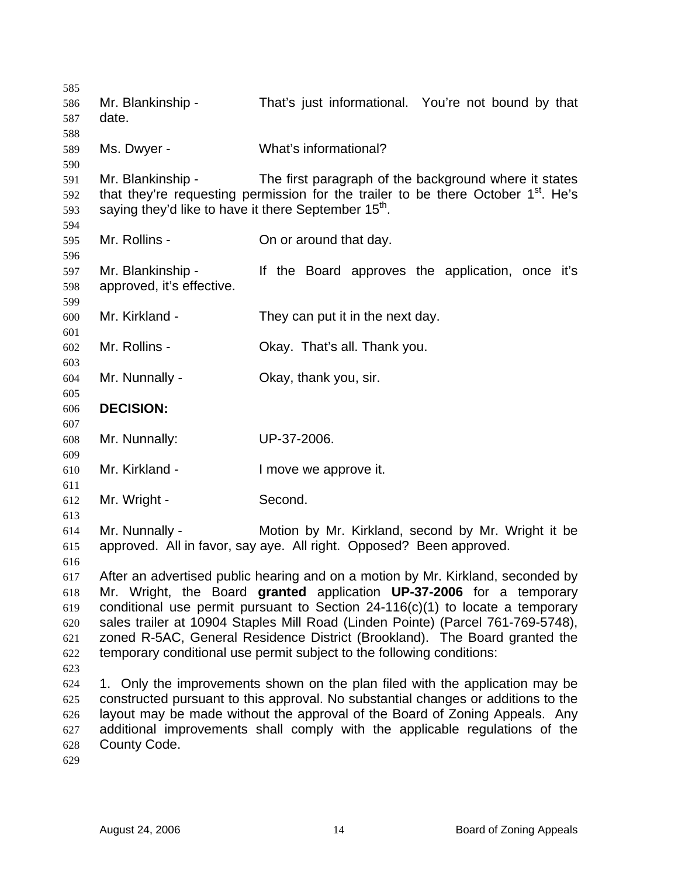| 585 |                                                                  |                                                                                               |
|-----|------------------------------------------------------------------|-----------------------------------------------------------------------------------------------|
| 586 | Mr. Blankinship -                                                | That's just informational. You're not bound by that                                           |
| 587 | date.                                                            |                                                                                               |
| 588 |                                                                  |                                                                                               |
| 589 | Ms. Dwyer -                                                      | What's informational?                                                                         |
| 590 |                                                                  |                                                                                               |
| 591 | Mr. Blankinship -                                                | The first paragraph of the background where it states                                         |
| 592 |                                                                  | that they're requesting permission for the trailer to be there October 1 <sup>st</sup> . He's |
| 593 | saying they'd like to have it there September 15 <sup>th</sup> . |                                                                                               |
| 594 |                                                                  |                                                                                               |
| 595 | Mr. Rollins -                                                    | On or around that day.                                                                        |
| 596 |                                                                  |                                                                                               |
| 597 | Mr. Blankinship -                                                | If the Board approves the application, once it's                                              |
| 598 | approved, it's effective.                                        |                                                                                               |
| 599 |                                                                  |                                                                                               |
| 600 | Mr. Kirkland -                                                   | They can put it in the next day.                                                              |
| 601 |                                                                  |                                                                                               |
| 602 | Mr. Rollins -                                                    | Okay. That's all. Thank you.                                                                  |
| 603 |                                                                  |                                                                                               |
| 604 | Mr. Nunnally -                                                   | Okay, thank you, sir.                                                                         |
| 605 |                                                                  |                                                                                               |
| 606 | <b>DECISION:</b>                                                 |                                                                                               |
| 607 |                                                                  |                                                                                               |
| 608 | Mr. Nunnally:                                                    | UP-37-2006.                                                                                   |
| 609 |                                                                  |                                                                                               |
| 610 | Mr. Kirkland -                                                   | I move we approve it.                                                                         |
| 611 |                                                                  |                                                                                               |
| 612 | Mr. Wright -                                                     | Second.                                                                                       |
| 613 |                                                                  |                                                                                               |
| 614 | Mr. Nunnally -                                                   | Motion by Mr. Kirkland, second by Mr. Wright it be                                            |
| 615 |                                                                  | approved. All in favor, say aye. All right. Opposed? Been approved.                           |
| 616 |                                                                  |                                                                                               |
| 617 |                                                                  | After an advertised public hearing and on a motion by Mr. Kirkland, seconded by               |
| 618 |                                                                  | Mr. Wright, the Board granted application UP-37-2006 for a temporary                          |
| 619 |                                                                  | conditional use permit pursuant to Section 24-116(c)(1) to locate a temporary                 |
| 620 |                                                                  | sales trailer at 10904 Staples Mill Road (Linden Pointe) (Parcel 761-769-5748),               |
| 621 |                                                                  | zoned R-5AC, General Residence District (Brookland). The Board granted the                    |
| 622 |                                                                  | temporary conditional use permit subject to the following conditions:                         |
| 623 |                                                                  |                                                                                               |
| 624 |                                                                  | 1. Only the improvements shown on the plan filed with the application may be                  |
| 625 |                                                                  | constructed pursuant to this approval. No substantial changes or additions to the             |
| 626 |                                                                  | layout may be made without the approval of the Board of Zoning Appeals. Any                   |
| 627 |                                                                  | additional improvements shall comply with the applicable regulations of the                   |
| 628 | County Code.                                                     |                                                                                               |
| 629 |                                                                  |                                                                                               |
|     |                                                                  |                                                                                               |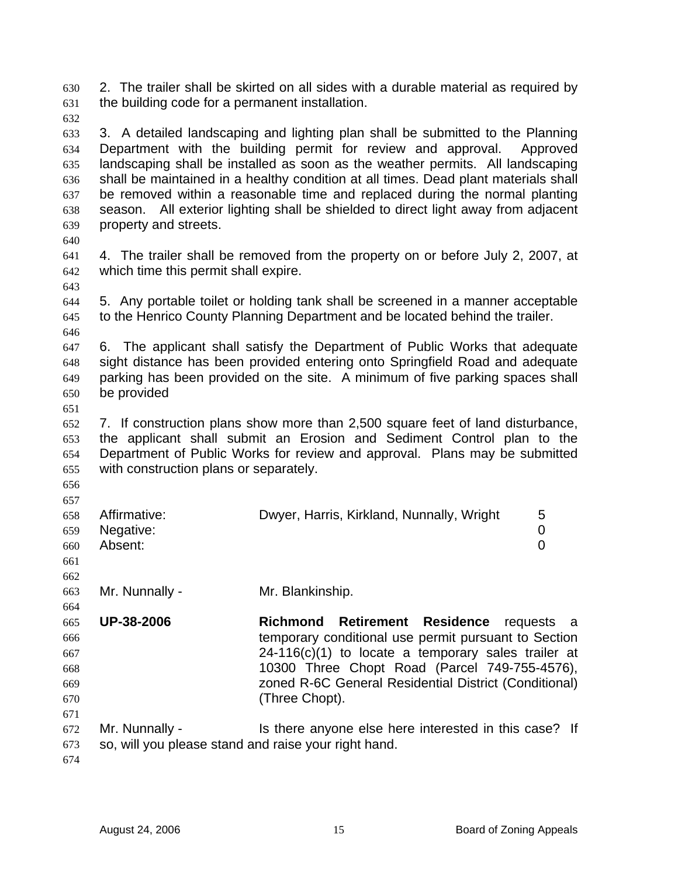2. The trailer shall be skirted on all sides with a durable material as required by the building code for a permanent installation. 630 631

632

633 634 635 636 637 638 639 3. A detailed landscaping and lighting plan shall be submitted to the Planning Department with the building permit for review and approval. Approved landscaping shall be installed as soon as the weather permits. All landscaping shall be maintained in a healthy condition at all times. Dead plant materials shall be removed within a reasonable time and replaced during the normal planting season. All exterior lighting shall be shielded to direct light away from adjacent property and streets.

640

643

641 642 4. The trailer shall be removed from the property on or before July 2, 2007, at which time this permit shall expire.

644 645 5. Any portable toilet or holding tank shall be screened in a manner acceptable to the Henrico County Planning Department and be located behind the trailer.

646

647 648 649 650 6. The applicant shall satisfy the Department of Public Works that adequate sight distance has been provided entering onto Springfield Road and adequate parking has been provided on the site. A minimum of five parking spaces shall be provided

651

652 653 654 655 7. If construction plans show more than 2,500 square feet of land disturbance, the applicant shall submit an Erosion and Sediment Control plan to the Department of Public Works for review and approval. Plans may be submitted with construction plans or separately.

656 657

| 658                     | Affirmative:  | Dwyer, Harris, Kirkland, Nunnally, Wright |  |
|-------------------------|---------------|-------------------------------------------|--|
|                         | 659 Negative: |                                           |  |
| 660                     | Absent:       |                                           |  |
| $\epsilon$ $\epsilon$ 1 |               |                                           |  |

661 662

664

663 Mr. Nunnally - Mr. Blankinship.

665 666 667 668 669 670 **UP-38-2006 Richmond Retirement Residence** requests a temporary conditional use permit pursuant to Section 24-116(c)(1) to locate a temporary sales trailer at 10300 Three Chopt Road (Parcel 749-755-4576), zoned R-6C General Residential District (Conditional) (Three Chopt).

672 673 Mr. Nunnally - Is there anyone else here interested in this case? If so, will you please stand and raise your right hand.

674

671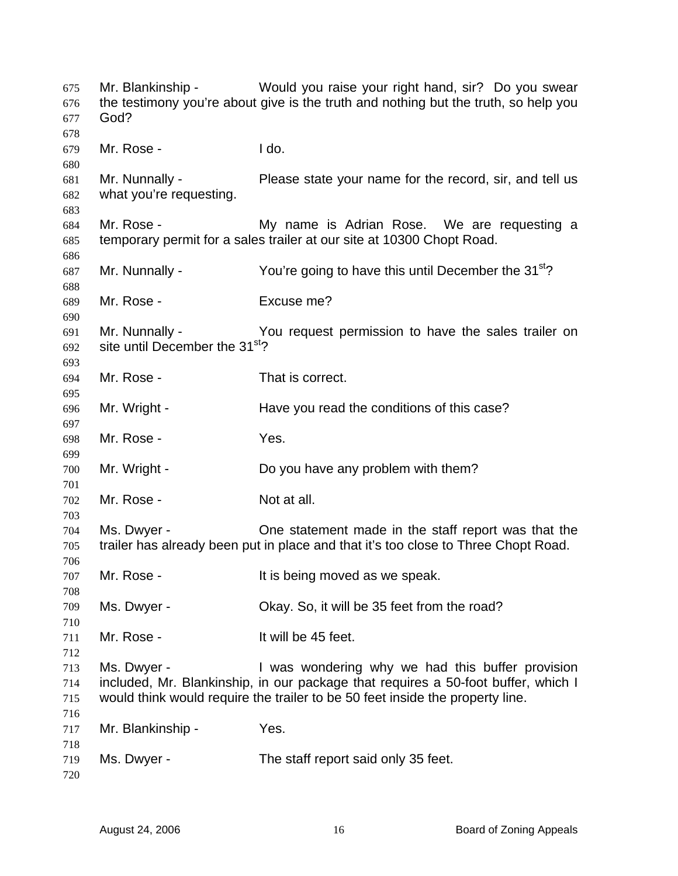| 675<br>676<br>677<br>678 | God?                                                         | Mr. Blankinship - Would you raise your right hand, sir? Do you swear<br>the testimony you're about give is the truth and nothing but the truth, so help you                                                            |
|--------------------------|--------------------------------------------------------------|------------------------------------------------------------------------------------------------------------------------------------------------------------------------------------------------------------------------|
| 679<br>680               | Mr. Rose -                                                   | I do.                                                                                                                                                                                                                  |
| 681<br>682<br>683        | Mr. Nunnally -<br>what you're requesting.                    | Please state your name for the record, sir, and tell us                                                                                                                                                                |
| 684<br>685<br>686        | Mr. Rose -                                                   | My name is Adrian Rose. We are requesting a<br>temporary permit for a sales trailer at our site at 10300 Chopt Road.                                                                                                   |
| 687<br>688               | Mr. Nunnally -                                               | You're going to have this until December the 31 <sup>st</sup> ?                                                                                                                                                        |
| 689<br>690               | Mr. Rose -                                                   | Excuse me?                                                                                                                                                                                                             |
| 691<br>692<br>693        | Mr. Nunnally -<br>site until December the 31 <sup>st</sup> ? | You request permission to have the sales trailer on                                                                                                                                                                    |
| 694<br>695               | Mr. Rose -                                                   | That is correct.                                                                                                                                                                                                       |
| 696<br>697               | Mr. Wright -                                                 | Have you read the conditions of this case?                                                                                                                                                                             |
| 698<br>699               | Mr. Rose -                                                   | Yes.                                                                                                                                                                                                                   |
| 700<br>701               | Mr. Wright -                                                 | Do you have any problem with them?                                                                                                                                                                                     |
| 702<br>703               | Mr. Rose -                                                   | Not at all.                                                                                                                                                                                                            |
| 704<br>705<br>706        | Ms. Dwyer -                                                  | One statement made in the staff report was that the<br>trailer has already been put in place and that it's too close to Three Chopt Road.                                                                              |
| 707<br>708               | Mr. Rose -                                                   | It is being moved as we speak.                                                                                                                                                                                         |
| 709<br>710               | Ms. Dwyer -                                                  | Okay. So, it will be 35 feet from the road?                                                                                                                                                                            |
| 711<br>712               | Mr. Rose -                                                   | It will be 45 feet.                                                                                                                                                                                                    |
| 713<br>714<br>715        | Ms. Dwyer -                                                  | I was wondering why we had this buffer provision<br>included, Mr. Blankinship, in our package that requires a 50-foot buffer, which I<br>would think would require the trailer to be 50 feet inside the property line. |
| 716<br>717<br>718        | Mr. Blankinship -                                            | Yes.                                                                                                                                                                                                                   |
| 719<br>720               | Ms. Dwyer -                                                  | The staff report said only 35 feet.                                                                                                                                                                                    |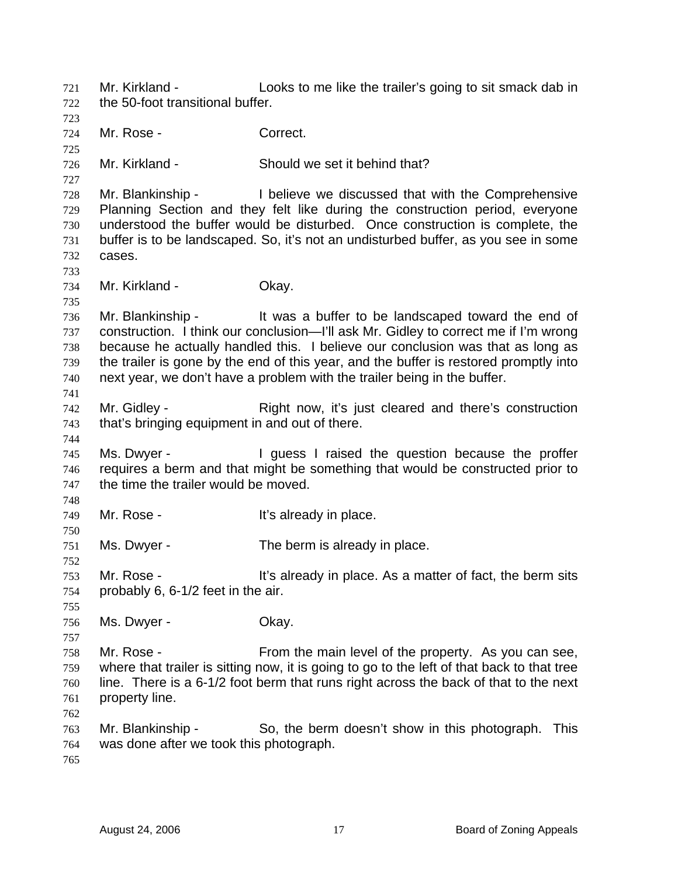Mr. Kirkland - Looks to me like the trailer's going to sit smack dab in the 50-foot transitional buffer. 721 722 723 724 725 726 727 728 729 730 731 732 733 734 735 736 737 738 739 740 741 742 743 744 745 746 747 748 749 750 751 752 753 754 755 756 757 758 759 760 761 762 763 764 765 Mr. Rose - Correct. Mr. Kirkland - Should we set it behind that? Mr. Blankinship - I believe we discussed that with the Comprehensive Planning Section and they felt like during the construction period, everyone understood the buffer would be disturbed. Once construction is complete, the buffer is to be landscaped. So, it's not an undisturbed buffer, as you see in some cases. Mr. Kirkland - **Okay.** Mr. Blankinship - It was a buffer to be landscaped toward the end of construction. I think our conclusion—I'll ask Mr. Gidley to correct me if I'm wrong because he actually handled this. I believe our conclusion was that as long as the trailer is gone by the end of this year, and the buffer is restored promptly into next year, we don't have a problem with the trailer being in the buffer. Mr. Gidley - The Right now, it's just cleared and there's construction that's bringing equipment in and out of there. Ms. Dwyer - The Universe I raised the question because the proffer requires a berm and that might be something that would be constructed prior to the time the trailer would be moved. Mr. Rose - The Music Controller's already in place. Ms. Dwyer - The berm is already in place. Mr. Rose - The Music extended in place. As a matter of fact, the berm sits probably 6, 6-1/2 feet in the air. Ms. Dwyer - Chay. Mr. Rose - From the main level of the property. As you can see, where that trailer is sitting now, it is going to go to the left of that back to that tree line. There is a 6-1/2 foot berm that runs right across the back of that to the next property line. Mr. Blankinship - So, the berm doesn't show in this photograph. This was done after we took this photograph.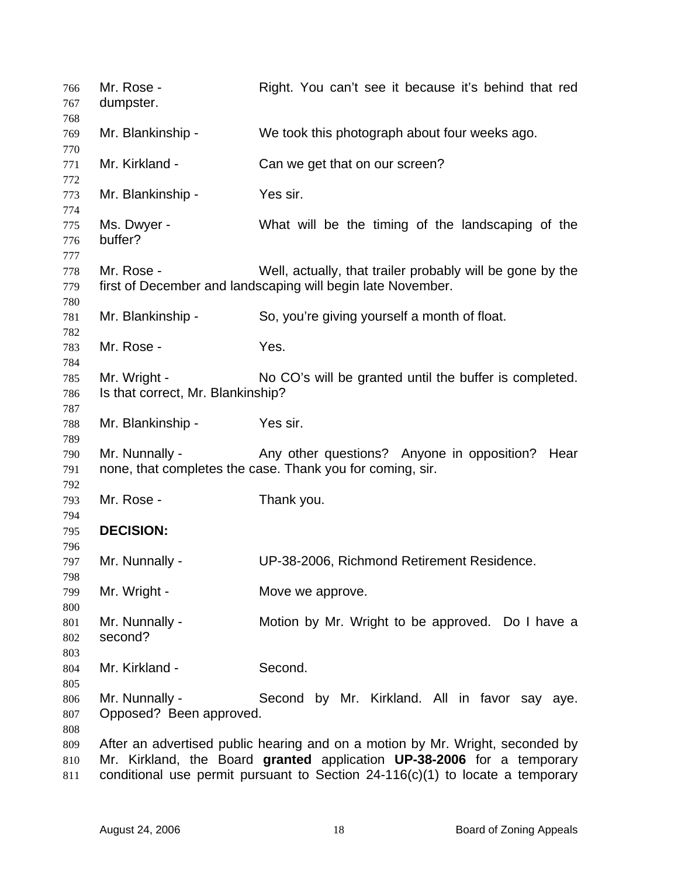| 766<br>767        | Mr. Rose -<br>dumpster.                           | Right. You can't see it because it's behind that red                                                                                                                                                                                       |
|-------------------|---------------------------------------------------|--------------------------------------------------------------------------------------------------------------------------------------------------------------------------------------------------------------------------------------------|
| 768<br>769<br>770 | Mr. Blankinship -                                 | We took this photograph about four weeks ago.                                                                                                                                                                                              |
| 771<br>772        | Mr. Kirkland -                                    | Can we get that on our screen?                                                                                                                                                                                                             |
| 773<br>774        | Mr. Blankinship -                                 | Yes sir.                                                                                                                                                                                                                                   |
| 775<br>776<br>777 | Ms. Dwyer -<br>buffer?                            | What will be the timing of the landscaping of the                                                                                                                                                                                          |
| 778<br>779<br>780 | Mr. Rose -                                        | Well, actually, that trailer probably will be gone by the<br>first of December and landscaping will begin late November.                                                                                                                   |
| 781<br>782        | Mr. Blankinship -                                 | So, you're giving yourself a month of float.                                                                                                                                                                                               |
| 783<br>784        | Mr. Rose -                                        | Yes.                                                                                                                                                                                                                                       |
| 785<br>786<br>787 | Mr. Wright -<br>Is that correct, Mr. Blankinship? | No CO's will be granted until the buffer is completed.                                                                                                                                                                                     |
| 788<br>789        | Mr. Blankinship -                                 | Yes sir.                                                                                                                                                                                                                                   |
| 790<br>791        | Mr. Nunnally -                                    | Any other questions? Anyone in opposition?<br>Hear<br>none, that completes the case. Thank you for coming, sir.                                                                                                                            |
| 792<br>793<br>794 | Mr. Rose -                                        | Thank you.                                                                                                                                                                                                                                 |
| 795<br>796        | <b>DECISION:</b>                                  |                                                                                                                                                                                                                                            |
| 797<br>798        | Mr. Nunnally -                                    | UP-38-2006, Richmond Retirement Residence.                                                                                                                                                                                                 |
| 799<br>800        | Mr. Wright -                                      | Move we approve.                                                                                                                                                                                                                           |
| 801<br>802<br>803 | Mr. Nunnally -<br>second?                         | Motion by Mr. Wright to be approved. Do I have a                                                                                                                                                                                           |
| 804<br>805        | Mr. Kirkland -                                    | Second.                                                                                                                                                                                                                                    |
| 806<br>807<br>808 | Mr. Nunnally -<br>Opposed? Been approved.         | Second by Mr. Kirkland. All in favor say aye.                                                                                                                                                                                              |
| 809<br>810<br>811 |                                                   | After an advertised public hearing and on a motion by Mr. Wright, seconded by<br>Mr. Kirkland, the Board granted application UP-38-2006 for a temporary<br>conditional use permit pursuant to Section $24-116(c)(1)$ to locate a temporary |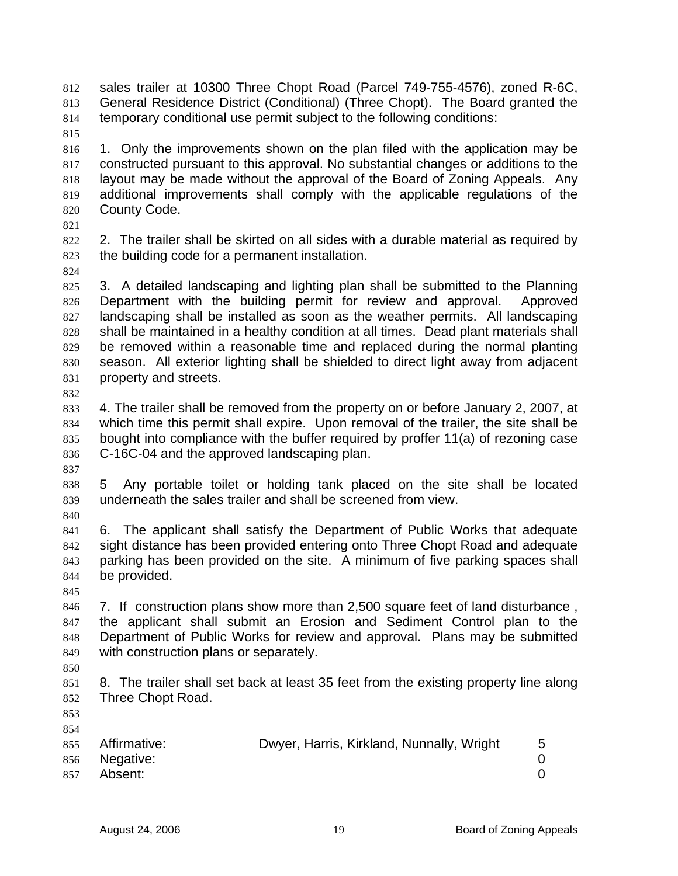sales trailer at 10300 Three Chopt Road (Parcel 749-755-4576), zoned R-6C, General Residence District (Conditional) (Three Chopt). The Board granted the temporary conditional use permit subject to the following conditions: 812 813 814

815

816 817 818 819 820 1. Only the improvements shown on the plan filed with the application may be constructed pursuant to this approval. No substantial changes or additions to the layout may be made without the approval of the Board of Zoning Appeals. Any additional improvements shall comply with the applicable regulations of the County Code.

821

822 823 2. The trailer shall be skirted on all sides with a durable material as required by the building code for a permanent installation.

824

825 826 827 828 829 830 831 3. A detailed landscaping and lighting plan shall be submitted to the Planning Department with the building permit for review and approval. Approved landscaping shall be installed as soon as the weather permits. All landscaping shall be maintained in a healthy condition at all times. Dead plant materials shall be removed within a reasonable time and replaced during the normal planting season. All exterior lighting shall be shielded to direct light away from adjacent property and streets.

832

833 834 835 836 4. The trailer shall be removed from the property on or before January 2, 2007, at which time this permit shall expire. Upon removal of the trailer, the site shall be bought into compliance with the buffer required by proffer 11(a) of rezoning case C-16C-04 and the approved landscaping plan.

837

838 839 5 Any portable toilet or holding tank placed on the site shall be located underneath the sales trailer and shall be screened from view.

840

841 842 843 844 6. The applicant shall satisfy the Department of Public Works that adequate sight distance has been provided entering onto Three Chopt Road and adequate parking has been provided on the site. A minimum of five parking spaces shall be provided.

845

846 847 848 849 7. If construction plans show more than 2,500 square feet of land disturbance , the applicant shall submit an Erosion and Sediment Control plan to the Department of Public Works for review and approval. Plans may be submitted with construction plans or separately.

850

851 852 8. The trailer shall set back at least 35 feet from the existing property line along Three Chopt Road.

853 854

|     | 855 Affirmative: | Dwyer, Harris, Kirkland, Nunnally, Wright |  |
|-----|------------------|-------------------------------------------|--|
|     | 856 Negative:    |                                           |  |
| 857 | Absent:          |                                           |  |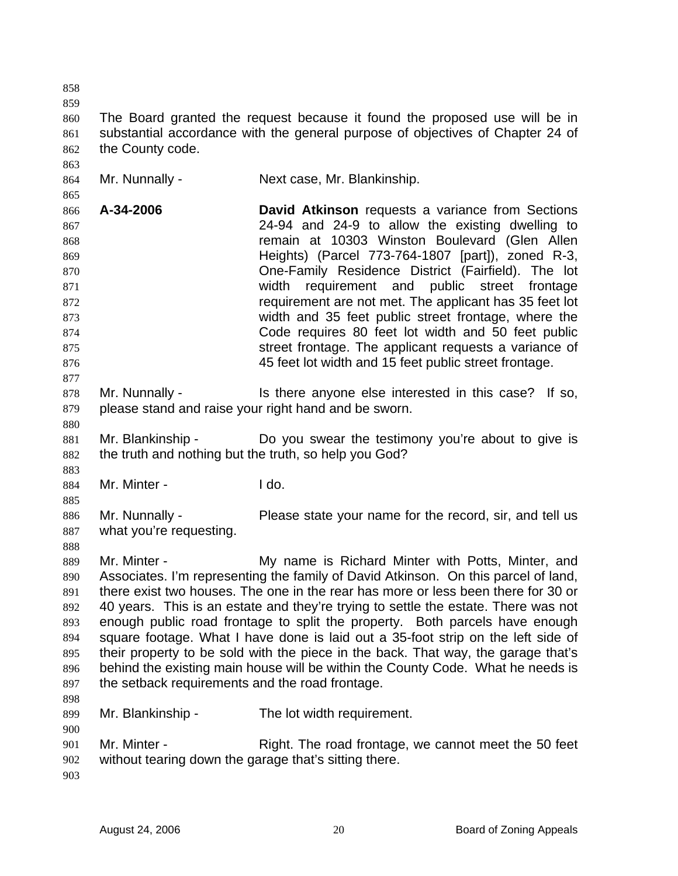858 859 860 861 862 863 864 865 866 867 868 869 870 871 872 873 874 875 876 877 878 879 880 881 882 883 884 885 886 887 888 889 890 891 892 893 894 895 896 897 898 899 900 901 902 903 The Board granted the request because it found the proposed use will be in substantial accordance with the general purpose of objectives of Chapter 24 of the County code. Mr. Nunnally - Next case, Mr. Blankinship. **A-34-2006 David Atkinson** requests a variance from Sections 24-94 and 24-9 to allow the existing dwelling to remain at 10303 Winston Boulevard (Glen Allen Heights) (Parcel 773-764-1807 [part]), zoned R-3, One-Family Residence District (Fairfield). The lot width requirement and public street frontage requirement are not met. The applicant has 35 feet lot width and 35 feet public street frontage, where the Code requires 80 feet lot width and 50 feet public street frontage. The applicant requests a variance of 45 feet lot width and 15 feet public street frontage. Mr. Nunnally - This there anyone else interested in this case? If so, please stand and raise your right hand and be sworn. Mr. Blankinship - Do you swear the testimony you're about to give is the truth and nothing but the truth, so help you God? Mr. Minter - I do. Mr. Nunnally - **Please state your name for the record, sir, and tell us** what you're requesting. Mr. Minter - My name is Richard Minter with Potts, Minter, and Associates. I'm representing the family of David Atkinson. On this parcel of land, there exist two houses. The one in the rear has more or less been there for 30 or 40 years. This is an estate and they're trying to settle the estate. There was not enough public road frontage to split the property. Both parcels have enough square footage. What I have done is laid out a 35-foot strip on the left side of their property to be sold with the piece in the back. That way, the garage that's behind the existing main house will be within the County Code. What he needs is the setback requirements and the road frontage. Mr. Blankinship - The lot width requirement. Mr. Minter - Right. The road frontage, we cannot meet the 50 feet without tearing down the garage that's sitting there.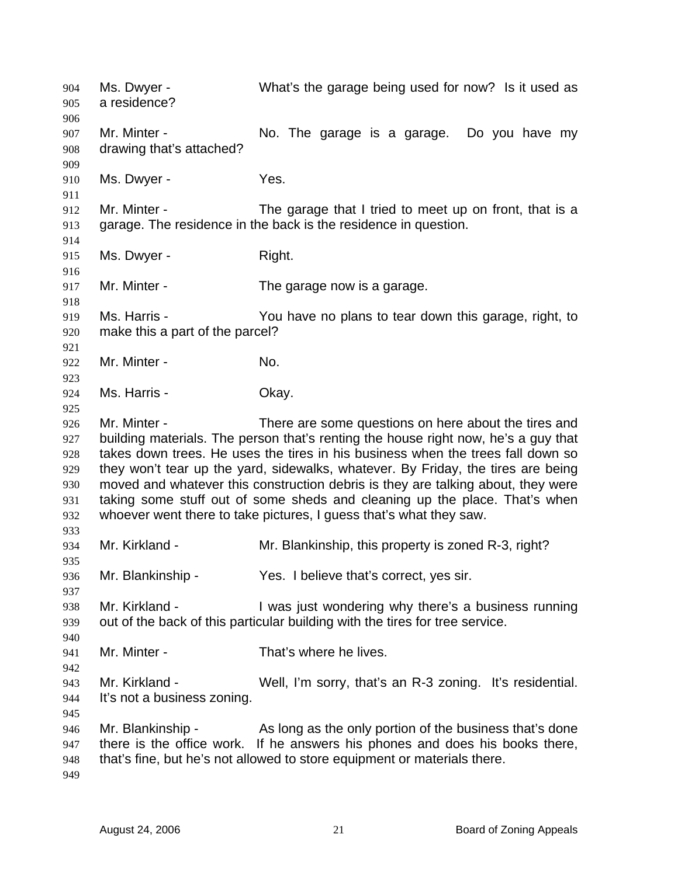Ms. Dwyer - What's the garage being used for now? Is it used as a residence? 904 905 906 907 908 909 910 911 912 913 914 915 916 917 918 919 920 921 922 923 924 925 926 927 928 929 930 931 932 933 934 935 936 937 938 939 940 941 942 943 944 945 946 947 948 949 Mr. Minter - The garage is a garage. Do you have my drawing that's attached? Ms. Dwyer - Yes. Mr. Minter - The garage that I tried to meet up on front, that is a garage. The residence in the back is the residence in question. Ms. Dwyer - Right. Mr. Minter - The garage now is a garage. Ms. Harris - The You have no plans to tear down this garage, right, to make this a part of the parcel? Mr. Minter - No. Ms. Harris - Chay. Mr. Minter - There are some questions on here about the tires and building materials. The person that's renting the house right now, he's a guy that takes down trees. He uses the tires in his business when the trees fall down so they won't tear up the yard, sidewalks, whatever. By Friday, the tires are being moved and whatever this construction debris is they are talking about, they were taking some stuff out of some sheds and cleaning up the place. That's when whoever went there to take pictures, I guess that's what they saw. Mr. Kirkland - **Mr. Blankinship, this property is zoned R-3**, right? Mr. Blankinship - Yes. I believe that's correct, yes sir. Mr. Kirkland - I was just wondering why there's a business running out of the back of this particular building with the tires for tree service. Mr. Minter - That's where he lives. Mr. Kirkland - Well, I'm sorry, that's an R-3 zoning. It's residential. It's not a business zoning. Mr. Blankinship - As long as the only portion of the business that's done there is the office work. If he answers his phones and does his books there, that's fine, but he's not allowed to store equipment or materials there.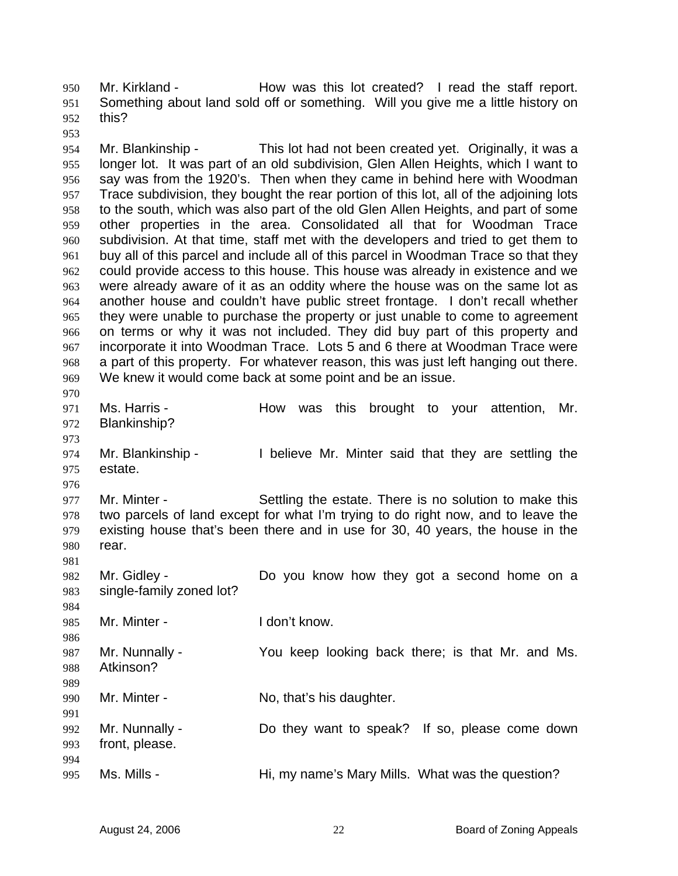Mr. Kirkland - The How was this lot created? I read the staff report. Something about land sold off or something. Will you give me a little history on this? 950 951 952

954 955 956 957 958 959 960 961 962 963 964 965 966 967 968 969 970 Mr. Blankinship - This lot had not been created yet. Originally, it was a longer lot. It was part of an old subdivision, Glen Allen Heights, which I want to say was from the 1920's. Then when they came in behind here with Woodman Trace subdivision, they bought the rear portion of this lot, all of the adjoining lots to the south, which was also part of the old Glen Allen Heights, and part of some other properties in the area. Consolidated all that for Woodman Trace subdivision. At that time, staff met with the developers and tried to get them to buy all of this parcel and include all of this parcel in Woodman Trace so that they could provide access to this house. This house was already in existence and we were already aware of it as an oddity where the house was on the same lot as another house and couldn't have public street frontage. I don't recall whether they were unable to purchase the property or just unable to come to agreement on terms or why it was not included. They did buy part of this property and incorporate it into Woodman Trace. Lots 5 and 6 there at Woodman Trace were a part of this property. For whatever reason, this was just left hanging out there. We knew it would come back at some point and be an issue.

971 972 973 Ms. Harris - The How was this brought to your attention, Mr. Blankinship?

974 975 976 Mr. Blankinship - I believe Mr. Minter said that they are settling the estate.

977 978 979 980 Mr. Minter - Settling the estate. There is no solution to make this two parcels of land except for what I'm trying to do right now, and to leave the existing house that's been there and in use for 30, 40 years, the house in the rear.

982 983 984 Mr. Gidley - The Solid Collect Collection Collection Collection Collection Collect Collect Collect Collect Collect Collect Collect Collect Collect Collect Collect Collect Collect Collect Collect Collect Collect Collect Col single-family zoned lot?

985 Mr. Minter - The Loop't know.

987 988 Mr. Nunnally - You keep looking back there; is that Mr. and Ms. Atkinson?

990 Mr. Minter - No, that's his daughter.

991 992 993 994 995 Mr. Nunnally - Do they want to speak? If so, please come down front, please. Ms. Mills - Hi, my name's Mary Mills. What was the question?

953

981

986

989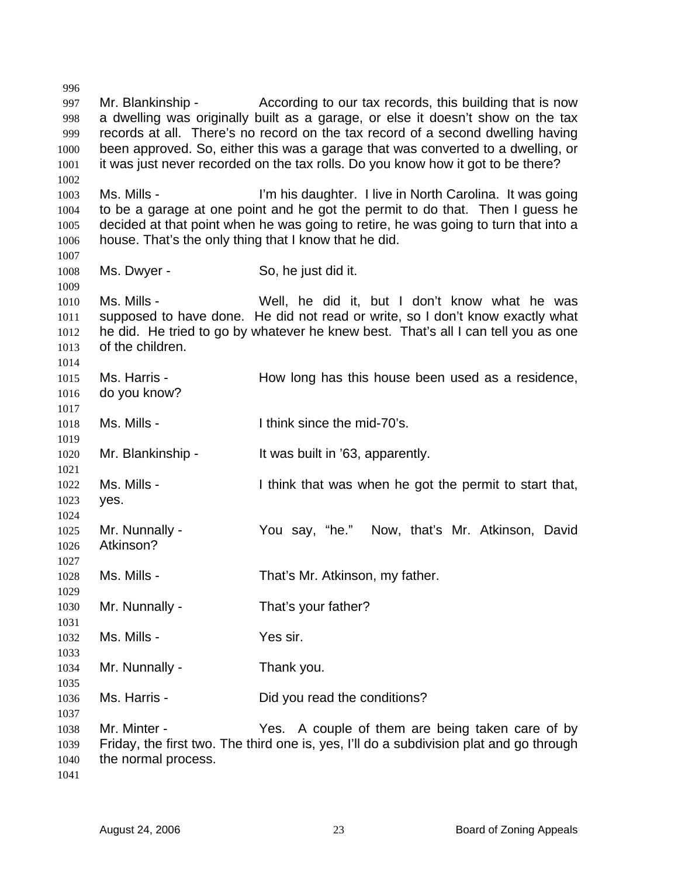997 998 999 1000 1001 1002 1003 1004 1005 1006 1007 1008 1009 1010 1011 1012 1013 1014 1015 1016 1017 1018 1019 1020 1021 1022 1023 1024 1025 1026 1027 1028 1029 1030 1031 1032 1033 1034 1035 1036 1037 1038 1039 1040 1041 Mr. Blankinship - According to our tax records, this building that is now a dwelling was originally built as a garage, or else it doesn't show on the tax records at all. There's no record on the tax record of a second dwelling having been approved. So, either this was a garage that was converted to a dwelling, or it was just never recorded on the tax rolls. Do you know how it got to be there? Ms. Mills - I'm his daughter. I live in North Carolina. It was going to be a garage at one point and he got the permit to do that. Then I guess he decided at that point when he was going to retire, he was going to turn that into a house. That's the only thing that I know that he did. Ms. Dwyer - So, he just did it. Ms. Mills - Well, he did it, but I don't know what he was supposed to have done. He did not read or write, so I don't know exactly what he did. He tried to go by whatever he knew best. That's all I can tell you as one of the children. Ms. Harris - The How long has this house been used as a residence, do you know? Ms. Mills - Think since the mid-70's. Mr. Blankinship - It was built in '63, apparently. Ms. Mills - Think that was when he got the permit to start that, yes. Mr. Nunnally - You say, "he." Now, that's Mr. Atkinson, David Atkinson? Ms. Mills - That's Mr. Atkinson, my father. Mr. Nunnally - That's your father? Ms. Mills - Yes sir. Mr. Nunnally - Thank you. Ms. Harris - Did you read the conditions? Mr. Minter - Yes. A couple of them are being taken care of by Friday, the first two. The third one is, yes, I'll do a subdivision plat and go through the normal process.

996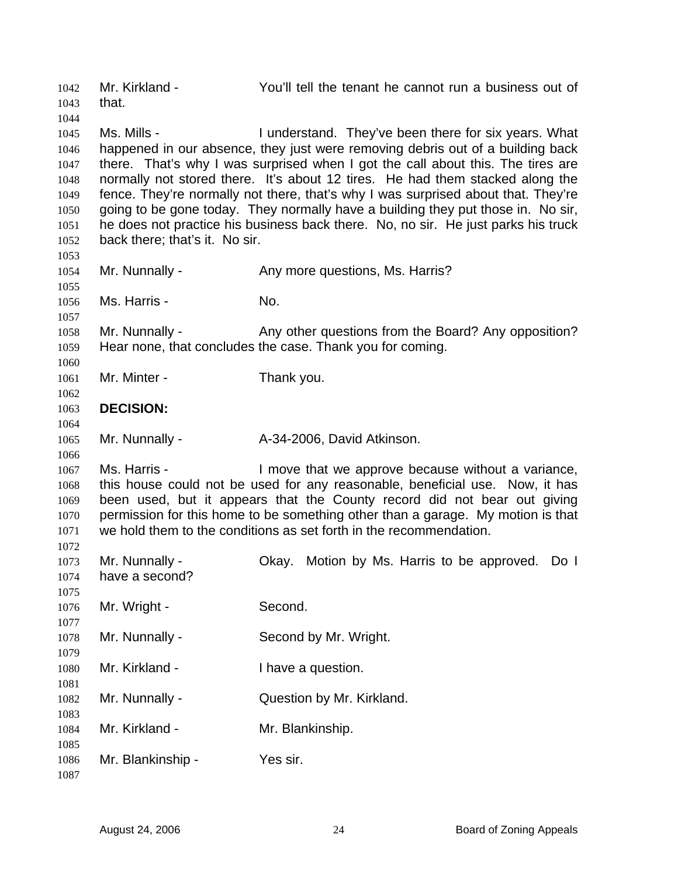Mr. Kirkland - You'll tell the tenant he cannot run a business out of that. 1042 1043 1044 1045 1046 1047 1048 1049 1050 1051 1052 1053 1054 1055 1056 1057 1058 1059 1060 1061 1062 1063 1064 1065 1066 1067 1068 1069 1070 1071 1072 1073 1074 1075 1076 1077 1078 1079 1080 1081 1082 1083 1084 1085 1086 1087 Ms. Mills - They've been there for six years. What happened in our absence, they just were removing debris out of a building back there. That's why I was surprised when I got the call about this. The tires are normally not stored there. It's about 12 tires. He had them stacked along the fence. They're normally not there, that's why I was surprised about that. They're going to be gone today. They normally have a building they put those in. No sir, he does not practice his business back there. No, no sir. He just parks his truck back there; that's it. No sir. Mr. Nunnally - Any more questions, Ms. Harris? Ms. Harris - No. Mr. Nunnally - Any other questions from the Board? Any opposition? Hear none, that concludes the case. Thank you for coming. Mr. Minter - Thank you. **DECISION:**  Mr. Nunnally - A-34-2006, David Atkinson. Ms. Harris - I move that we approve because without a variance, this house could not be used for any reasonable, beneficial use. Now, it has been used, but it appears that the County record did not bear out giving permission for this home to be something other than a garage. My motion is that we hold them to the conditions as set forth in the recommendation. Mr. Nunnally - Okay. Motion by Ms. Harris to be approved. Do I have a second? Mr. Wright - Second. Mr. Nunnally - Second by Mr. Wright. Mr. Kirkland - Thave a question. Mr. Nunnally - **Question by Mr. Kirkland.** Mr. Kirkland - Mr. Blankinship. Mr. Blankinship - Yes sir.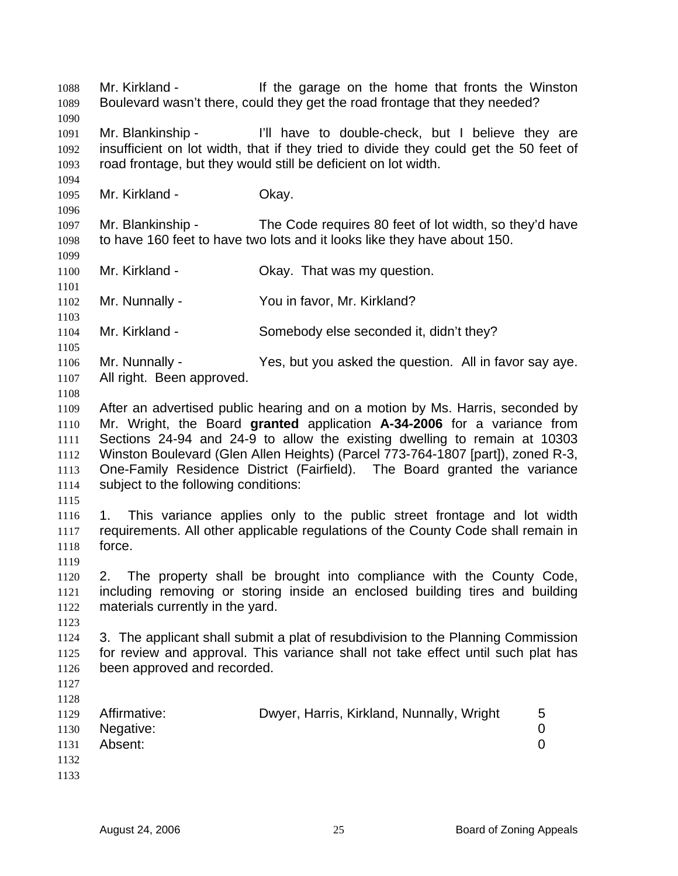Mr. Kirkland - If the garage on the home that fronts the Winston Boulevard wasn't there, could they get the road frontage that they needed? 1088 1089 1090 1091 1092 1093 1094 1095 1096 1097 1098 1099 1100 1101 1102 1103 1104 1105 1106 1107 1108 1109 1110 1111 1112 1113 1114 1115 1116 1117 1118 1119 1120 1121 1122 1123 1124 1125 1126 1127 1128 1129 1130 1131 1132 1133 Mr. Blankinship - I'll have to double-check, but I believe they are insufficient on lot width, that if they tried to divide they could get the 50 feet of road frontage, but they would still be deficient on lot width. Mr. Kirkland - **Okay.** Mr. Blankinship - The Code requires 80 feet of lot width, so they'd have to have 160 feet to have two lots and it looks like they have about 150. Mr. Kirkland - Ckay. That was my question. Mr. Nunnally - You in favor, Mr. Kirkland? Mr. Kirkland - Somebody else seconded it, didn't they? Mr. Nunnally - The Yes, but you asked the question. All in favor say aye. All right. Been approved. After an advertised public hearing and on a motion by Ms. Harris, seconded by Mr. Wright, the Board **granted** application **A-34-2006** for a variance from Sections 24-94 and 24-9 to allow the existing dwelling to remain at 10303 Winston Boulevard (Glen Allen Heights) (Parcel 773-764-1807 [part]), zoned R-3, One-Family Residence District (Fairfield). The Board granted the variance subject to the following conditions: 1. This variance applies only to the public street frontage and lot width requirements. All other applicable regulations of the County Code shall remain in force. 2. The property shall be brought into compliance with the County Code, including removing or storing inside an enclosed building tires and building materials currently in the yard. 3. The applicant shall submit a plat of resubdivision to the Planning Commission for review and approval. This variance shall not take effect until such plat has been approved and recorded. Affirmative: Dwyer, Harris, Kirkland, Nunnally, Wright 5 Negative: 0 Absent: 0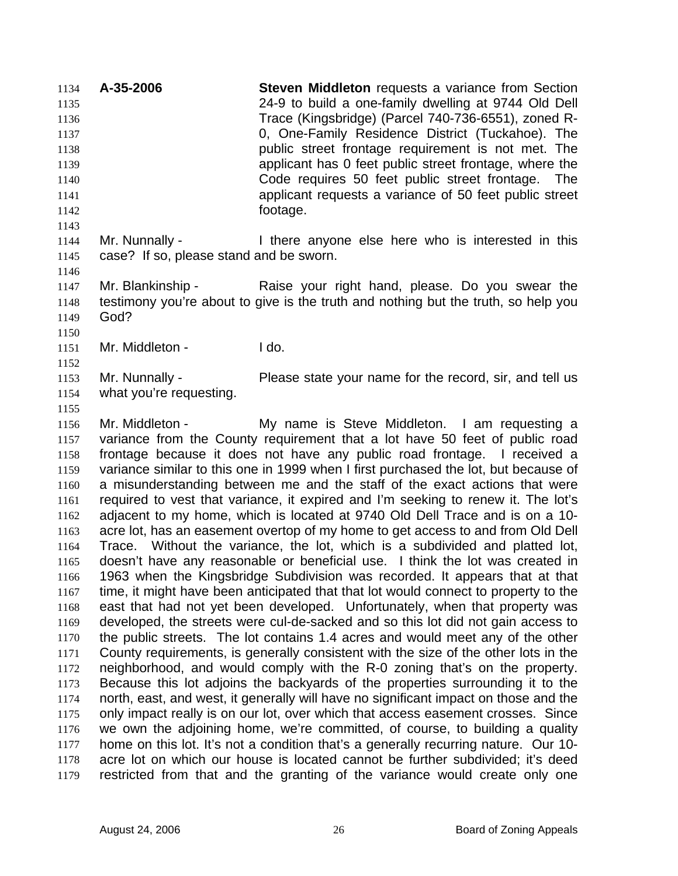**A-35-2006 Steven Middleton** requests a variance from Section 24-9 to build a one-family dwelling at 9744 Old Dell Trace (Kingsbridge) (Parcel 740-736-6551), zoned R-0, One-Family Residence District (Tuckahoe). The public street frontage requirement is not met. The applicant has 0 feet public street frontage, where the Code requires 50 feet public street frontage. The applicant requests a variance of 50 feet public street footage. 1134 1135 1136 1137 1138 1139 1140 1141 1142 1143

1144 1145 Mr. Nunnally - There anyone else here who is interested in this case? If so, please stand and be sworn.

1147 1148 1149 Mr. Blankinship - The Raise your right hand, please. Do you swear the testimony you're about to give is the truth and nothing but the truth, so help you God?

1150 1151

1152

1146

Mr. Middleton - The Lido.

1153 1154 Mr. Nunnally - Please state your name for the record, sir, and tell us what you're requesting.

1155

1156 1157 1158 1159 1160 1161 1162 1163 1164 1165 1166 1167 1168 1169 1170 1171 1172 1173 1174 1175 1176 1177 1178 1179 Mr. Middleton - The My name is Steve Middleton. I am requesting a variance from the County requirement that a lot have 50 feet of public road frontage because it does not have any public road frontage. I received a variance similar to this one in 1999 when I first purchased the lot, but because of a misunderstanding between me and the staff of the exact actions that were required to vest that variance, it expired and I'm seeking to renew it. The lot's adjacent to my home, which is located at 9740 Old Dell Trace and is on a 10 acre lot, has an easement overtop of my home to get access to and from Old Dell Trace. Without the variance, the lot, which is a subdivided and platted lot, doesn't have any reasonable or beneficial use. I think the lot was created in 1963 when the Kingsbridge Subdivision was recorded. It appears that at that time, it might have been anticipated that that lot would connect to property to the east that had not yet been developed. Unfortunately, when that property was developed, the streets were cul-de-sacked and so this lot did not gain access to the public streets. The lot contains 1.4 acres and would meet any of the other County requirements, is generally consistent with the size of the other lots in the neighborhood, and would comply with the R-0 zoning that's on the property. Because this lot adjoins the backyards of the properties surrounding it to the north, east, and west, it generally will have no significant impact on those and the only impact really is on our lot, over which that access easement crosses. Since we own the adjoining home, we're committed, of course, to building a quality home on this lot. It's not a condition that's a generally recurring nature. Our 10 acre lot on which our house is located cannot be further subdivided; it's deed restricted from that and the granting of the variance would create only one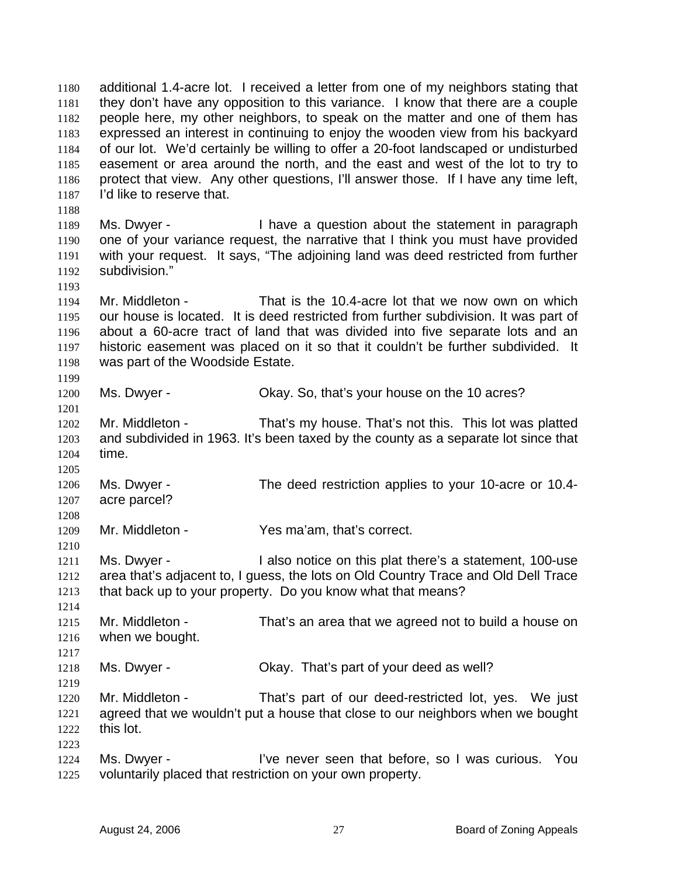additional 1.4-acre lot. I received a letter from one of my neighbors stating that they don't have any opposition to this variance. I know that there are a couple people here, my other neighbors, to speak on the matter and one of them has expressed an interest in continuing to enjoy the wooden view from his backyard of our lot. We'd certainly be willing to offer a 20-foot landscaped or undisturbed easement or area around the north, and the east and west of the lot to try to protect that view. Any other questions, I'll answer those. If I have any time left, I'd like to reserve that. 1180 1181 1182 1183 1184 1185 1186 1187 1188 1189 1190 1191 1192 1193 1194 1195 1196 1197 1198 1199 1200 1201 1202 1203 1204 1205 1206 1207 1208 1209 1210 1211 1212 1213 1214 1215 1216 1217 1218 1219 1220 1221 1222 1223 1224 1225 Ms. Dwyer - Thave a question about the statement in paragraph one of your variance request, the narrative that I think you must have provided with your request. It says, "The adjoining land was deed restricted from further subdivision." Mr. Middleton - That is the 10.4-acre lot that we now own on which our house is located. It is deed restricted from further subdivision. It was part of about a 60-acre tract of land that was divided into five separate lots and an historic easement was placed on it so that it couldn't be further subdivided. It was part of the Woodside Estate. Ms. Dwyer - Chay. So, that's your house on the 10 acres? Mr. Middleton - That's my house. That's not this. This lot was platted and subdivided in 1963. It's been taxed by the county as a separate lot since that time. Ms. Dwyer - The deed restriction applies to your 10-acre or 10.4acre parcel? Mr. Middleton - Yes ma'am, that's correct. Ms. Dwyer - I also notice on this plat there's a statement, 100-use area that's adjacent to, I guess, the lots on Old Country Trace and Old Dell Trace that back up to your property. Do you know what that means? Mr. Middleton - That's an area that we agreed not to build a house on when we bought. Ms. Dwyer - Chay. That's part of your deed as well? Mr. Middleton - That's part of our deed-restricted lot, yes. We just agreed that we wouldn't put a house that close to our neighbors when we bought this lot. Ms. Dwyer - The live never seen that before, so I was curious. You voluntarily placed that restriction on your own property.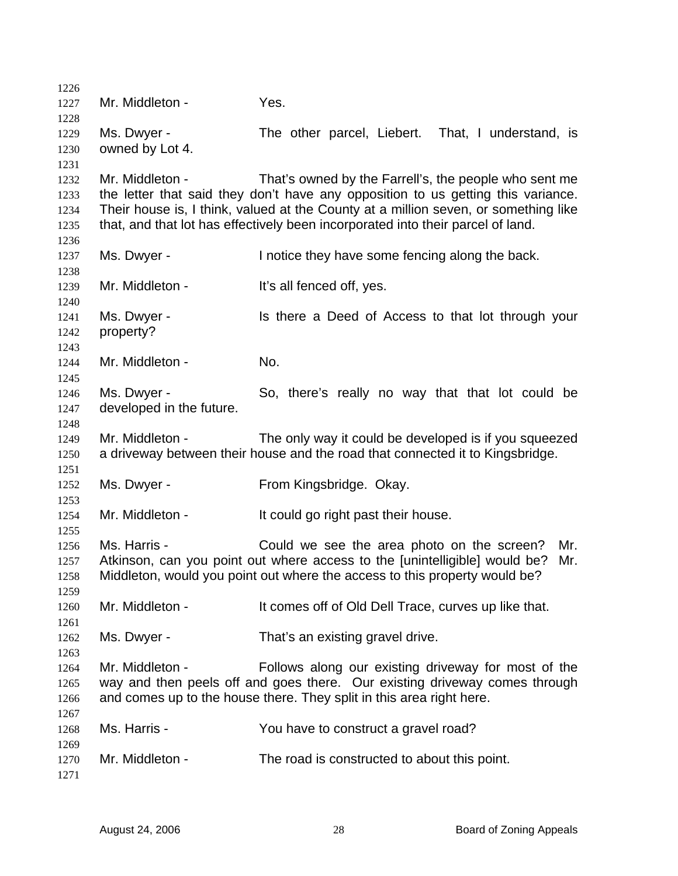| 1226 |                          |                                                                                     |
|------|--------------------------|-------------------------------------------------------------------------------------|
| 1227 | Mr. Middleton -          | Yes.                                                                                |
| 1228 |                          |                                                                                     |
| 1229 | Ms. Dwyer -              | The other parcel, Liebert. That, I understand, is                                   |
| 1230 | owned by Lot 4.          |                                                                                     |
| 1231 |                          |                                                                                     |
| 1232 | Mr. Middleton -          | That's owned by the Farrell's, the people who sent me                               |
| 1233 |                          | the letter that said they don't have any opposition to us getting this variance.    |
| 1234 |                          | Their house is, I think, valued at the County at a million seven, or something like |
| 1235 |                          | that, and that lot has effectively been incorporated into their parcel of land.     |
| 1236 |                          |                                                                                     |
| 1237 | Ms. Dwyer -              | I notice they have some fencing along the back.                                     |
| 1238 |                          |                                                                                     |
| 1239 | Mr. Middleton -          | It's all fenced off, yes.                                                           |
| 1240 |                          |                                                                                     |
| 1241 | Ms. Dwyer -              | Is there a Deed of Access to that lot through your                                  |
| 1242 | property?                |                                                                                     |
| 1243 |                          |                                                                                     |
| 1244 | Mr. Middleton -          | No.                                                                                 |
| 1245 |                          |                                                                                     |
| 1246 | Ms. Dwyer -              | So, there's really no way that that lot could be                                    |
| 1247 | developed in the future. |                                                                                     |
| 1248 |                          |                                                                                     |
| 1249 | Mr. Middleton -          | The only way it could be developed is if you squeezed                               |
| 1250 |                          | a driveway between their house and the road that connected it to Kingsbridge.       |
| 1251 |                          |                                                                                     |
| 1252 | Ms. Dwyer -              | From Kingsbridge. Okay.                                                             |
| 1253 |                          |                                                                                     |
| 1254 | Mr. Middleton -          | It could go right past their house.                                                 |
| 1255 |                          |                                                                                     |
| 1256 | Ms. Harris -             | Could we see the area photo on the screen?<br>Mr.                                   |
| 1257 |                          | Atkinson, can you point out where access to the [unintelligible] would be?<br>Mr.   |
| 1258 |                          | Middleton, would you point out where the access to this property would be?          |
| 1259 |                          |                                                                                     |
| 1260 | Mr. Middleton -          | It comes off of Old Dell Trace, curves up like that.                                |
| 1261 |                          |                                                                                     |
| 1262 | Ms. Dwyer -              | That's an existing gravel drive.                                                    |
| 1263 |                          |                                                                                     |
| 1264 | Mr. Middleton -          | Follows along our existing driveway for most of the                                 |
| 1265 |                          | way and then peels off and goes there. Our existing driveway comes through          |
| 1266 |                          | and comes up to the house there. They split in this area right here.                |
| 1267 |                          |                                                                                     |
| 1268 | Ms. Harris -             | You have to construct a gravel road?                                                |
| 1269 |                          |                                                                                     |
| 1270 | Mr. Middleton -          | The road is constructed to about this point.                                        |
| 1271 |                          |                                                                                     |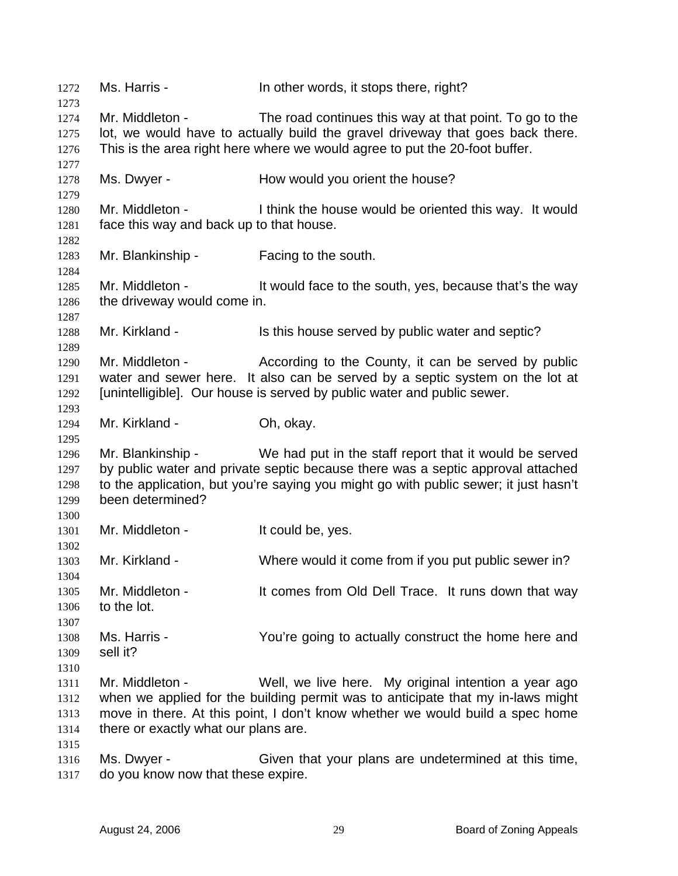| 1272         | Ms. Harris -                                                                                                                                            | In other words, it stops there, right?                                               |  |
|--------------|---------------------------------------------------------------------------------------------------------------------------------------------------------|--------------------------------------------------------------------------------------|--|
| 1273<br>1274 | Mr. Middleton -                                                                                                                                         | The road continues this way at that point. To go to the                              |  |
| 1275         |                                                                                                                                                         | lot, we would have to actually build the gravel driveway that goes back there.       |  |
| 1276         | This is the area right here where we would agree to put the 20-foot buffer.                                                                             |                                                                                      |  |
| 1277         |                                                                                                                                                         |                                                                                      |  |
| 1278         | Ms. Dwyer -                                                                                                                                             | How would you orient the house?                                                      |  |
| 1279         |                                                                                                                                                         |                                                                                      |  |
| 1280<br>1281 | Mr. Middleton -<br>I think the house would be oriented this way. It would<br>face this way and back up to that house.                                   |                                                                                      |  |
| 1282<br>1283 | Mr. Blankinship -                                                                                                                                       | Facing to the south.                                                                 |  |
| 1284         |                                                                                                                                                         |                                                                                      |  |
| 1285         | Mr. Middleton -                                                                                                                                         | It would face to the south, yes, because that's the way                              |  |
| 1286         | the driveway would come in.                                                                                                                             |                                                                                      |  |
| 1287         |                                                                                                                                                         |                                                                                      |  |
| 1288         | Mr. Kirkland -                                                                                                                                          | Is this house served by public water and septic?                                     |  |
| 1289         | Mr. Middleton -                                                                                                                                         |                                                                                      |  |
| 1290<br>1291 |                                                                                                                                                         | According to the County, it can be served by public                                  |  |
| 1292         | water and sewer here. It also can be served by a septic system on the lot at<br>[unintelligible]. Our house is served by public water and public sewer. |                                                                                      |  |
| 1293         |                                                                                                                                                         |                                                                                      |  |
| 1294         | Mr. Kirkland -                                                                                                                                          | Oh, okay.                                                                            |  |
| 1295         |                                                                                                                                                         |                                                                                      |  |
| 1296         | Mr. Blankinship -                                                                                                                                       | We had put in the staff report that it would be served                               |  |
| 1297         |                                                                                                                                                         | by public water and private septic because there was a septic approval attached      |  |
| 1298         |                                                                                                                                                         | to the application, but you're saying you might go with public sewer; it just hasn't |  |
| 1299         | been determined?                                                                                                                                        |                                                                                      |  |
| 1300         |                                                                                                                                                         |                                                                                      |  |
| 1301         | Mr. Middleton -                                                                                                                                         | It could be, yes.                                                                    |  |
| 1302         |                                                                                                                                                         |                                                                                      |  |
| 1303         | Mr. Kirkland -                                                                                                                                          | Where would it come from if you put public sewer in?                                 |  |
| 1304         |                                                                                                                                                         |                                                                                      |  |
| 1305         | Mr. Middleton -                                                                                                                                         | It comes from Old Dell Trace. It runs down that way                                  |  |
| 1306         | to the lot.                                                                                                                                             |                                                                                      |  |
| 1307         |                                                                                                                                                         |                                                                                      |  |
| 1308         | Ms. Harris -                                                                                                                                            | You're going to actually construct the home here and                                 |  |
| 1309         | sell it?                                                                                                                                                |                                                                                      |  |
| 1310         |                                                                                                                                                         |                                                                                      |  |
| 1311         | Mr. Middleton -                                                                                                                                         | Well, we live here. My original intention a year ago                                 |  |
| 1312         | when we applied for the building permit was to anticipate that my in-laws might                                                                         |                                                                                      |  |
| 1313         | move in there. At this point, I don't know whether we would build a spec home                                                                           |                                                                                      |  |
| 1314         | there or exactly what our plans are.                                                                                                                    |                                                                                      |  |
| 1315         |                                                                                                                                                         |                                                                                      |  |
| 1316         | Ms. Dwyer -                                                                                                                                             | Given that your plans are undetermined at this time,                                 |  |
| 1317         | do you know now that these expire.                                                                                                                      |                                                                                      |  |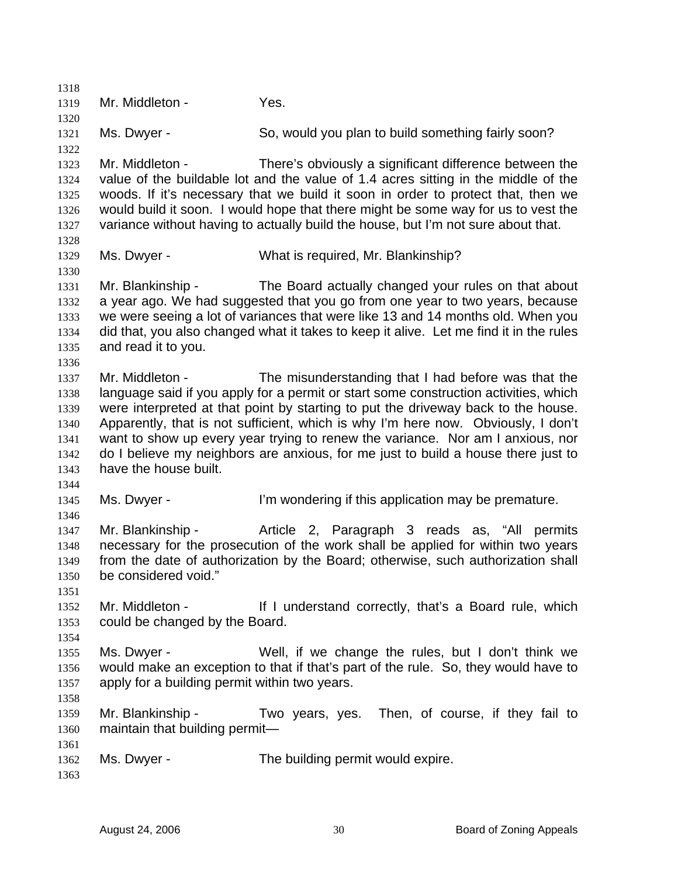1318 1319 1320 1321 1322 1323 1324 1325 1326 1327 1328 1329 1330 1331 1332 1333 1334 1335 1336 1337 1338 1339 1340 1341 1342 1343 1344 1345 1346 1347 1348 1349 1350 1351 1352 1353 1354 1355 1356 1357 1358 1359 1360 1361 1362 1363 Mr. Middleton - Yes. Ms. Dwyer - So, would you plan to build something fairly soon? Mr. Middleton - There's obviously a significant difference between the value of the buildable lot and the value of 1.4 acres sitting in the middle of the woods. If it's necessary that we build it soon in order to protect that, then we would build it soon. I would hope that there might be some way for us to vest the variance without having to actually build the house, but I'm not sure about that. Ms. Dwyer - What is required, Mr. Blankinship? Mr. Blankinship - The Board actually changed your rules on that about a year ago. We had suggested that you go from one year to two years, because we were seeing a lot of variances that were like 13 and 14 months old. When you did that, you also changed what it takes to keep it alive. Let me find it in the rules and read it to you. Mr. Middleton - The misunderstanding that I had before was that the language said if you apply for a permit or start some construction activities, which were interpreted at that point by starting to put the driveway back to the house. Apparently, that is not sufficient, which is why I'm here now. Obviously, I don't want to show up every year trying to renew the variance. Nor am I anxious, nor do I believe my neighbors are anxious, for me just to build a house there just to have the house built. Ms. Dwyer - The I'm wondering if this application may be premature. Mr. Blankinship - Article 2, Paragraph 3 reads as, "All permits necessary for the prosecution of the work shall be applied for within two years from the date of authorization by the Board; otherwise, such authorization shall be considered void." Mr. Middleton - If I understand correctly, that's a Board rule, which could be changed by the Board. Ms. Dwyer - Well, if we change the rules, but I don't think we would make an exception to that if that's part of the rule. So, they would have to apply for a building permit within two years. Mr. Blankinship - Two years, yes. Then, of course, if they fail to maintain that building permit— Ms. Dwyer - The building permit would expire.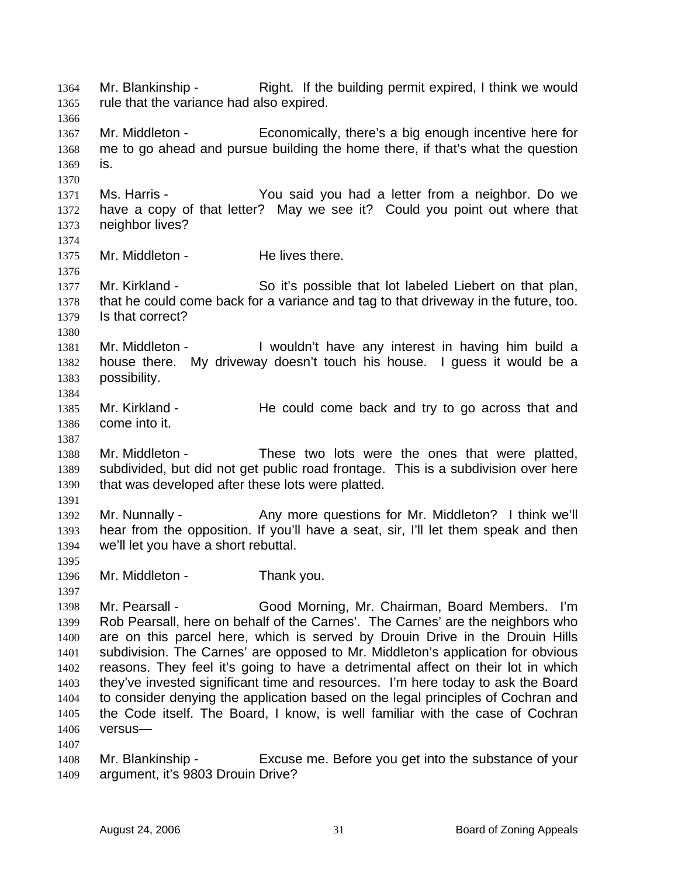Mr. Blankinship - Right. If the building permit expired, I think we would rule that the variance had also expired. 1364 1365 1366 1367 1368 1369 1370 1371 1372 1373 1374 1375 1376 1377 1378 1379 1380 1381 1382 1383 1384 1385 1386 1387 1388 1389 1390 1391 1392 1393 1394 1395 1396 1397 1398 1399 1400 1401 1402 1403 1404 1405 1406 1407 1408 1409 Mr. Middleton - Economically, there's a big enough incentive here for me to go ahead and pursue building the home there, if that's what the question is. Ms. Harris - The You said you had a letter from a neighbor. Do we have a copy of that letter? May we see it? Could you point out where that neighbor lives? Mr. Middleton - He lives there. Mr. Kirkland - So it's possible that lot labeled Liebert on that plan, that he could come back for a variance and tag to that driveway in the future, too. Is that correct? Mr. Middleton - I wouldn't have any interest in having him build a house there. My driveway doesn't touch his house. I guess it would be a possibility. Mr. Kirkland - He could come back and try to go across that and come into it. Mr. Middleton - These two lots were the ones that were platted, subdivided, but did not get public road frontage. This is a subdivision over here that was developed after these lots were platted. Mr. Nunnally - Any more questions for Mr. Middleton? I think we'll hear from the opposition. If you'll have a seat, sir, I'll let them speak and then we'll let you have a short rebuttal. Mr. Middleton - Thank you. Mr. Pearsall - Good Morning, Mr. Chairman, Board Members. I'm Rob Pearsall, here on behalf of the Carnes'. The Carnes' are the neighbors who are on this parcel here, which is served by Drouin Drive in the Drouin Hills subdivision. The Carnes' are opposed to Mr. Middleton's application for obvious reasons. They feel it's going to have a detrimental affect on their lot in which they've invested significant time and resources. I'm here today to ask the Board to consider denying the application based on the legal principles of Cochran and the Code itself. The Board, I know, is well familiar with the case of Cochran versus— Mr. Blankinship - Excuse me. Before you get into the substance of your argument, it's 9803 Drouin Drive?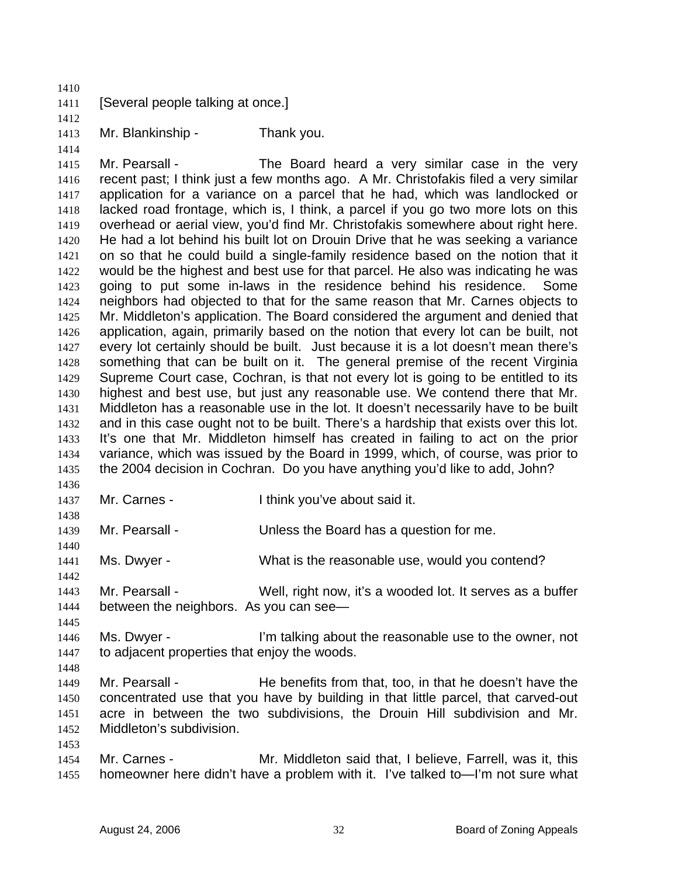| 1411         | [Several people talking at once.]                                                                                                                         |                                                                                     |  |
|--------------|-----------------------------------------------------------------------------------------------------------------------------------------------------------|-------------------------------------------------------------------------------------|--|
| 1412         |                                                                                                                                                           |                                                                                     |  |
| 1413<br>1414 | Mr. Blankinship -                                                                                                                                         | Thank you.                                                                          |  |
| 1415         | Mr. Pearsall -                                                                                                                                            | The Board heard a very similar case in the very                                     |  |
| 1416         |                                                                                                                                                           | recent past; I think just a few months ago. A Mr. Christofakis filed a very similar |  |
| 1417         |                                                                                                                                                           | application for a variance on a parcel that he had, which was landlocked or         |  |
| 1418         | lacked road frontage, which is, I think, a parcel if you go two more lots on this                                                                         |                                                                                     |  |
| 1419         |                                                                                                                                                           | overhead or aerial view, you'd find Mr. Christofakis somewhere about right here.    |  |
| 1420         |                                                                                                                                                           | He had a lot behind his built lot on Drouin Drive that he was seeking a variance    |  |
| 1421         |                                                                                                                                                           | on so that he could build a single-family residence based on the notion that it     |  |
| 1422         | would be the highest and best use for that parcel. He also was indicating he was                                                                          |                                                                                     |  |
| 1423         | going to put some in-laws in the residence behind his residence.<br>Some<br>neighbors had objected to that for the same reason that Mr. Carnes objects to |                                                                                     |  |
| 1424         |                                                                                                                                                           |                                                                                     |  |
| 1425         | Mr. Middleton's application. The Board considered the argument and denied that                                                                            |                                                                                     |  |
| 1426         | application, again, primarily based on the notion that every lot can be built, not                                                                        |                                                                                     |  |
| 1427         | every lot certainly should be built. Just because it is a lot doesn't mean there's                                                                        |                                                                                     |  |
| 1428         | something that can be built on it. The general premise of the recent Virginia                                                                             |                                                                                     |  |
| 1429         | Supreme Court case, Cochran, is that not every lot is going to be entitled to its                                                                         |                                                                                     |  |
| 1430         | highest and best use, but just any reasonable use. We contend there that Mr.                                                                              |                                                                                     |  |
| 1431         | Middleton has a reasonable use in the lot. It doesn't necessarily have to be built                                                                        |                                                                                     |  |
| 1432         | and in this case ought not to be built. There's a hardship that exists over this lot.                                                                     |                                                                                     |  |
| 1433         | It's one that Mr. Middleton himself has created in failing to act on the prior                                                                            |                                                                                     |  |
| 1434         |                                                                                                                                                           | variance, which was issued by the Board in 1999, which, of course, was prior to     |  |
| 1435         |                                                                                                                                                           | the 2004 decision in Cochran. Do you have anything you'd like to add, John?         |  |
| 1436         |                                                                                                                                                           |                                                                                     |  |
| 1437         | Mr. Carnes -                                                                                                                                              | I think you've about said it.                                                       |  |
| 1438         |                                                                                                                                                           |                                                                                     |  |
| 1439         | Mr. Pearsall -                                                                                                                                            | Unless the Board has a question for me.                                             |  |
| 1440         |                                                                                                                                                           |                                                                                     |  |
| 1441         | Ms. Dwyer -                                                                                                                                               | What is the reasonable use, would you contend?                                      |  |
| 1442         |                                                                                                                                                           |                                                                                     |  |
| 1443         | Mr. Pearsall -                                                                                                                                            | Well, right now, it's a wooded lot. It serves as a buffer                           |  |
| 1444         | between the neighbors. As you can see—                                                                                                                    |                                                                                     |  |
| 1445<br>1446 | Ms. Dwyer -                                                                                                                                               | I'm talking about the reasonable use to the owner, not                              |  |
| 1447         | to adjacent properties that enjoy the woods.                                                                                                              |                                                                                     |  |
| 1448         |                                                                                                                                                           |                                                                                     |  |
| 1449         | Mr. Pearsall -                                                                                                                                            | He benefits from that, too, in that he doesn't have the                             |  |
| 1450         |                                                                                                                                                           | concentrated use that you have by building in that little parcel, that carved-out   |  |
| 1451         | acre in between the two subdivisions, the Drouin Hill subdivision and Mr.                                                                                 |                                                                                     |  |
| 1452         | Middleton's subdivision.                                                                                                                                  |                                                                                     |  |
| 1453         |                                                                                                                                                           |                                                                                     |  |
| 1454         | Mr. Carnes -                                                                                                                                              | Mr. Middleton said that, I believe, Farrell, was it, this                           |  |
| 1455         |                                                                                                                                                           | homeowner here didn't have a problem with it. I've talked to—I'm not sure what      |  |

1410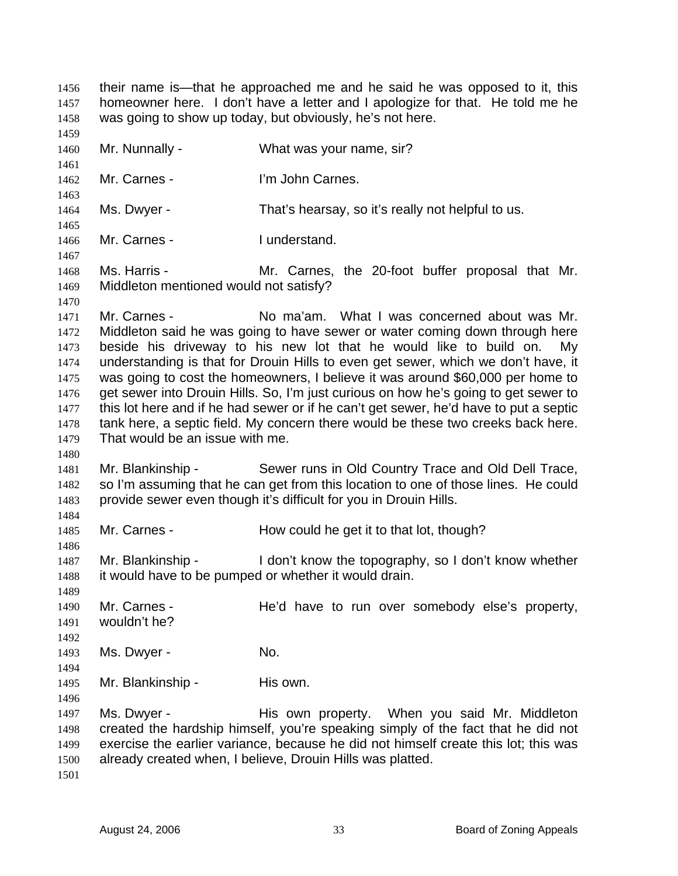their name is—that he approached me and he said he was opposed to it, this homeowner here. I don't have a letter and I apologize for that. He told me he was going to show up today, but obviously, he's not here. 1456 1457 1458 1459 1460 1461 1462 1463 1464 1465 1466 1467 1468 1469 1470 1471 1472 1473 1474 1475 1476 1477 1478 1479 1480 1481 1482 1483 1484 1485 1486 1487 1488 1489 1490 1491 1492 1493 1494 1495 1496 1497 1498 1499 1500 1501 Mr. Nunnally - What was your name, sir? Mr. Carnes - I'm John Carnes. Ms. Dwyer - That's hearsay, so it's really not helpful to us. Mr. Carnes - Tunderstand. Ms. Harris - Mr. Carnes, the 20-foot buffer proposal that Mr. Middleton mentioned would not satisfy? Mr. Carnes - No ma'am. What I was concerned about was Mr. Middleton said he was going to have sewer or water coming down through here beside his driveway to his new lot that he would like to build on. My understanding is that for Drouin Hills to even get sewer, which we don't have, it was going to cost the homeowners, I believe it was around \$60,000 per home to get sewer into Drouin Hills. So, I'm just curious on how he's going to get sewer to this lot here and if he had sewer or if he can't get sewer, he'd have to put a septic tank here, a septic field. My concern there would be these two creeks back here. That would be an issue with me. Mr. Blankinship - Sewer runs in Old Country Trace and Old Dell Trace, so I'm assuming that he can get from this location to one of those lines. He could provide sewer even though it's difficult for you in Drouin Hills. Mr. Carnes - How could he get it to that lot, though? Mr. Blankinship - I don't know the topography, so I don't know whether it would have to be pumped or whether it would drain. Mr. Carnes - The'd have to run over somebody else's property, wouldn't he? Ms. Dwyer - No. Mr. Blankinship - His own. Ms. Dwyer - This own property. When you said Mr. Middleton created the hardship himself, you're speaking simply of the fact that he did not exercise the earlier variance, because he did not himself create this lot; this was already created when, I believe, Drouin Hills was platted.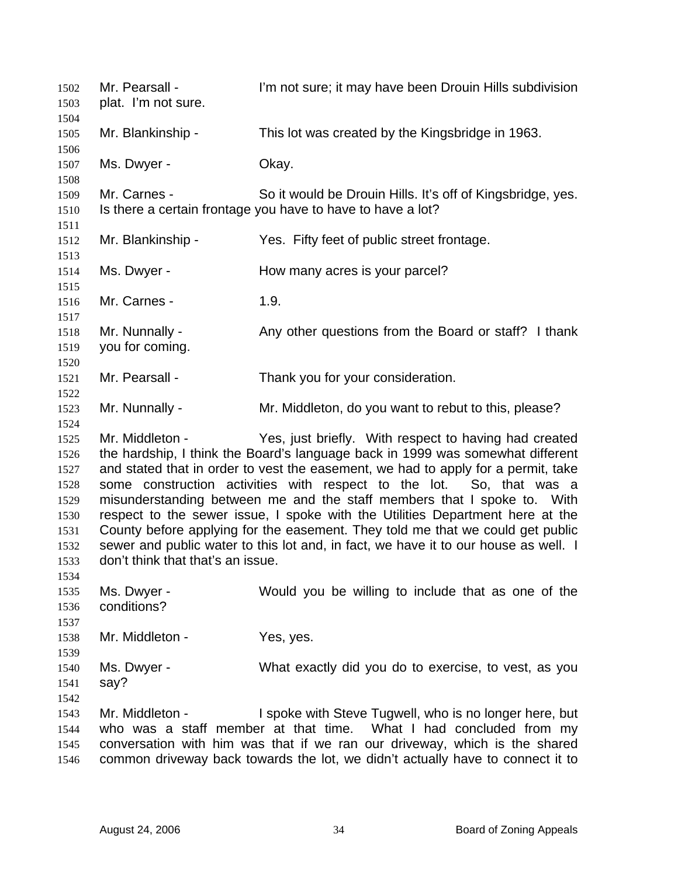Mr. Pearsall - I'm not sure; it may have been Drouin Hills subdivision plat. I'm not sure. 1502 1503 1504 1505 1506 1507 1508 1509 1510 1511 1512 1513 1514 1515 1516 1517 1518 1519 1520 1521 1522 1523 1524 1525 1526 1527 1528 1529 1530 1531 1532 1533 1534 1535 1536 1537 1538 1539 1540 1541 1542 1543 1544 1545 1546 Mr. Blankinship - This lot was created by the Kingsbridge in 1963. Ms. Dwyer - Ckay. Mr. Carnes - So it would be Drouin Hills. It's off of Kingsbridge, yes. Is there a certain frontage you have to have to have a lot? Mr. Blankinship - Yes. Fifty feet of public street frontage. Ms. Dwyer - **How many acres is your parcel?** Mr. Carnes - 1.9. Mr. Nunnally - Any other questions from the Board or staff? I thank you for coming. Mr. Pearsall - Thank you for your consideration. Mr. Nunnally - The Mr. Middleton, do you want to rebut to this, please? Mr. Middleton - Yes, just briefly. With respect to having had created the hardship, I think the Board's language back in 1999 was somewhat different and stated that in order to vest the easement, we had to apply for a permit, take some construction activities with respect to the lot. So, that was a misunderstanding between me and the staff members that I spoke to. With respect to the sewer issue, I spoke with the Utilities Department here at the County before applying for the easement. They told me that we could get public sewer and public water to this lot and, in fact, we have it to our house as well. I don't think that that's an issue. Ms. Dwyer - Would you be willing to include that as one of the conditions? Mr. Middleton - Yes, yes. Ms. Dwyer - What exactly did you do to exercise, to vest, as you say? Mr. Middleton - I spoke with Steve Tugwell, who is no longer here, but who was a staff member at that time. What I had concluded from my conversation with him was that if we ran our driveway, which is the shared common driveway back towards the lot, we didn't actually have to connect it to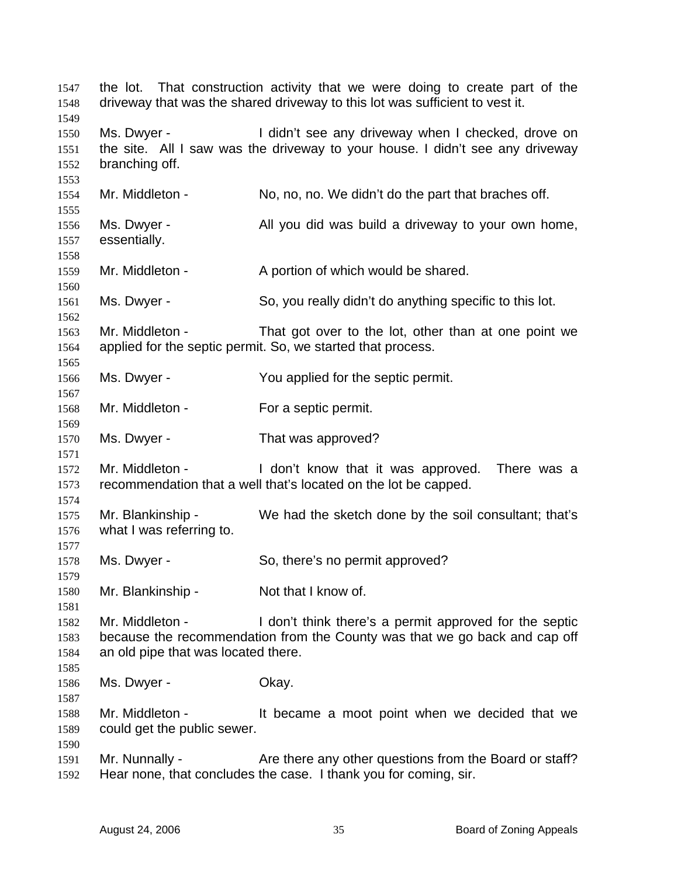the lot. That construction activity that we were doing to create part of the driveway that was the shared driveway to this lot was sufficient to vest it. Ms. Dwyer - I didn't see any driveway when I checked, drove on the site. All I saw was the driveway to your house. I didn't see any driveway branching off. Mr. Middleton - No, no, no. We didn't do the part that braches off. Ms. Dwyer - All you did was build a driveway to your own home, essentially. Mr. Middleton - A portion of which would be shared. Ms. Dwyer - So, you really didn't do anything specific to this lot. Mr. Middleton - That got over to the lot, other than at one point we applied for the septic permit. So, we started that process. Ms. Dwyer - The You applied for the septic permit. Mr. Middleton - For a septic permit. Ms. Dwyer - That was approved? Mr. Middleton - I don't know that it was approved. There was a recommendation that a well that's located on the lot be capped. Mr. Blankinship - We had the sketch done by the soil consultant; that's what I was referring to. Ms. Dwyer - So, there's no permit approved? Mr. Blankinship - Not that I know of. Mr. Middleton - I don't think there's a permit approved for the septic because the recommendation from the County was that we go back and cap off an old pipe that was located there. Ms. Dwyer - Ckay. Mr. Middleton - The lt became a moot point when we decided that we could get the public sewer. Mr. Nunnally - Are there any other questions from the Board or staff? Hear none, that concludes the case. I thank you for coming, sir.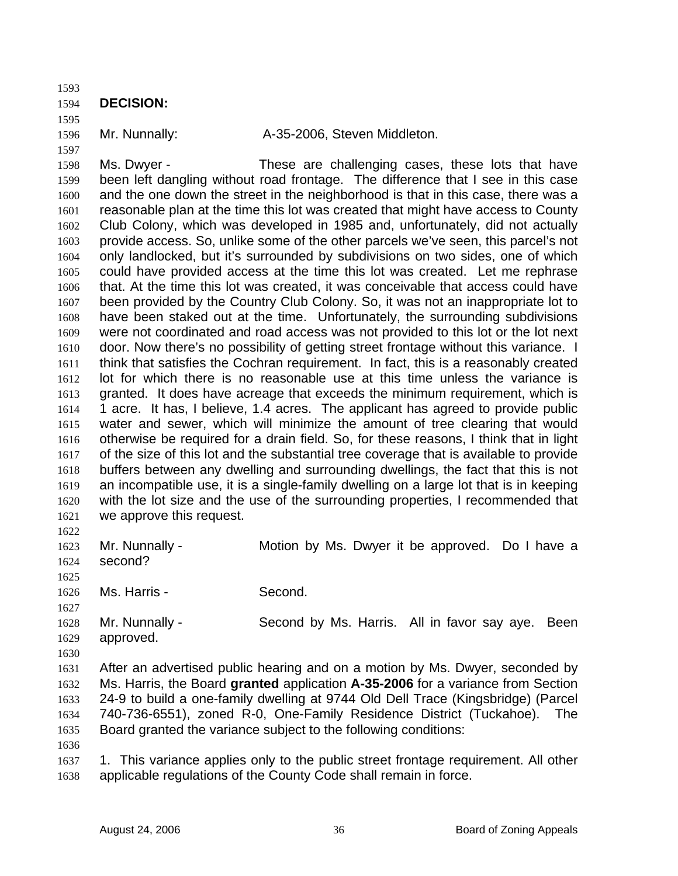1593

1594 **DECISION:** 

1595 1596

- 1597
- 

Mr. Nunnally:  $A-35-2006$ , Steven Middleton.

1598 1599 1600 1601 1602 1603 1604 1605 1606 1607 1608 1609 1610 1611 1612 1613 1614 1615 1616 1617 1618 1619 1620 1621 Ms. Dwyer - These are challenging cases, these lots that have been left dangling without road frontage. The difference that I see in this case and the one down the street in the neighborhood is that in this case, there was a reasonable plan at the time this lot was created that might have access to County Club Colony, which was developed in 1985 and, unfortunately, did not actually provide access. So, unlike some of the other parcels we've seen, this parcel's not only landlocked, but it's surrounded by subdivisions on two sides, one of which could have provided access at the time this lot was created. Let me rephrase that. At the time this lot was created, it was conceivable that access could have been provided by the Country Club Colony. So, it was not an inappropriate lot to have been staked out at the time. Unfortunately, the surrounding subdivisions were not coordinated and road access was not provided to this lot or the lot next door. Now there's no possibility of getting street frontage without this variance. I think that satisfies the Cochran requirement. In fact, this is a reasonably created lot for which there is no reasonable use at this time unless the variance is granted. It does have acreage that exceeds the minimum requirement, which is 1 acre. It has, I believe, 1.4 acres. The applicant has agreed to provide public water and sewer, which will minimize the amount of tree clearing that would otherwise be required for a drain field. So, for these reasons, I think that in light of the size of this lot and the substantial tree coverage that is available to provide buffers between any dwelling and surrounding dwellings, the fact that this is not an incompatible use, it is a single-family dwelling on a large lot that is in keeping with the lot size and the use of the surrounding properties, I recommended that we approve this request.

1622

1623 1624 1625 1626 1627 Mr. Nunnally - **Motion by Ms. Dwyer it be approved.** Do I have a second? Ms. Harris - Second.

1628 1629 1630 Mr. Nunnally - Second by Ms. Harris. All in favor say aye. Been approved.

1631 1632 1633 1634 1635 After an advertised public hearing and on a motion by Ms. Dwyer, seconded by Ms. Harris, the Board **granted** application **A-35-2006** for a variance from Section 24-9 to build a one-family dwelling at 9744 Old Dell Trace (Kingsbridge) (Parcel 740-736-6551), zoned R-0, One-Family Residence District (Tuckahoe). The Board granted the variance subject to the following conditions:

1636

1637 1638 1. This variance applies only to the public street frontage requirement. All other applicable regulations of the County Code shall remain in force.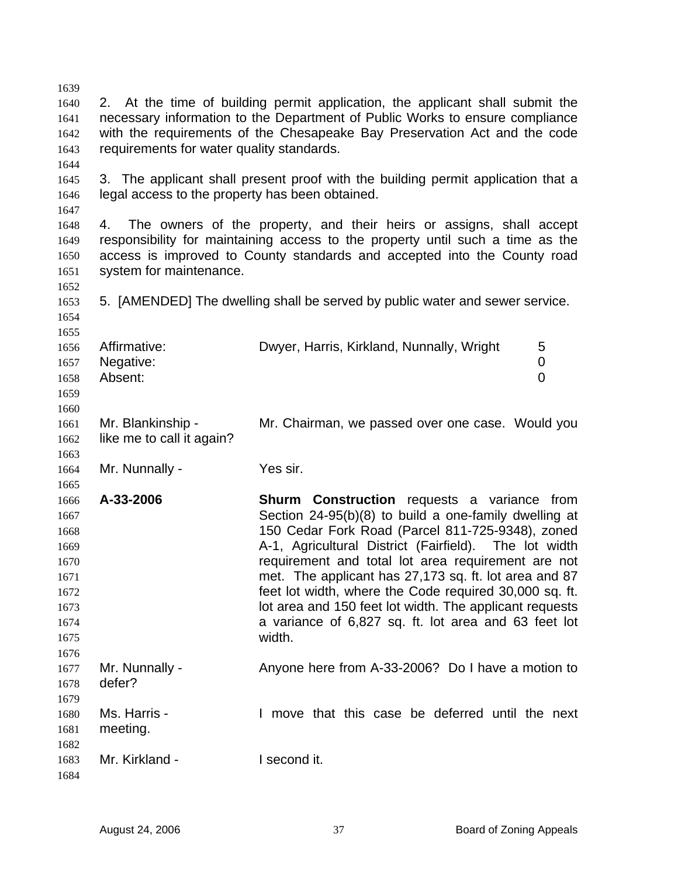1639 1640 1641 1642 1643 1644 1645 1646 1647 1648 1649 1650 1651 1652 1653 1654 1655 1656 1657 1658 1659 1660 1661 1662 1663 1664 1665 1666 1667 1668 1669 1670 1671 1672 1673 1674 1675 1676 1677 1678 1679 1680 1681 1682 1683 1684 2. At the time of building permit application, the applicant shall submit the necessary information to the Department of Public Works to ensure compliance with the requirements of the Chesapeake Bay Preservation Act and the code requirements for water quality standards. 3. The applicant shall present proof with the building permit application that a legal access to the property has been obtained. 4. The owners of the property, and their heirs or assigns, shall accept responsibility for maintaining access to the property until such a time as the access is improved to County standards and accepted into the County road system for maintenance. 5. [AMENDED] The dwelling shall be served by public water and sewer service. Affirmative: Dwyer, Harris, Kirkland, Nunnally, Wright 5 Negative: 0 Absent: 0 Mr. Blankinship - Mr. Chairman, we passed over one case. Would you like me to call it again? Mr. Nunnally - Yes sir. **A-33-2006 Shurm Construction** requests a variance from Section 24-95(b)(8) to build a one-family dwelling at 150 Cedar Fork Road (Parcel 811-725-9348), zoned A-1, Agricultural District (Fairfield). The lot width requirement and total lot area requirement are not met. The applicant has 27,173 sq. ft. lot area and 87 feet lot width, where the Code required 30,000 sq. ft. lot area and 150 feet lot width. The applicant requests a variance of 6,827 sq. ft. lot area and 63 feet lot width. Mr. Nunnally - Anyone here from A-33-2006? Do I have a motion to defer? Ms. Harris - I move that this case be deferred until the next meeting. Mr. Kirkland - I second it.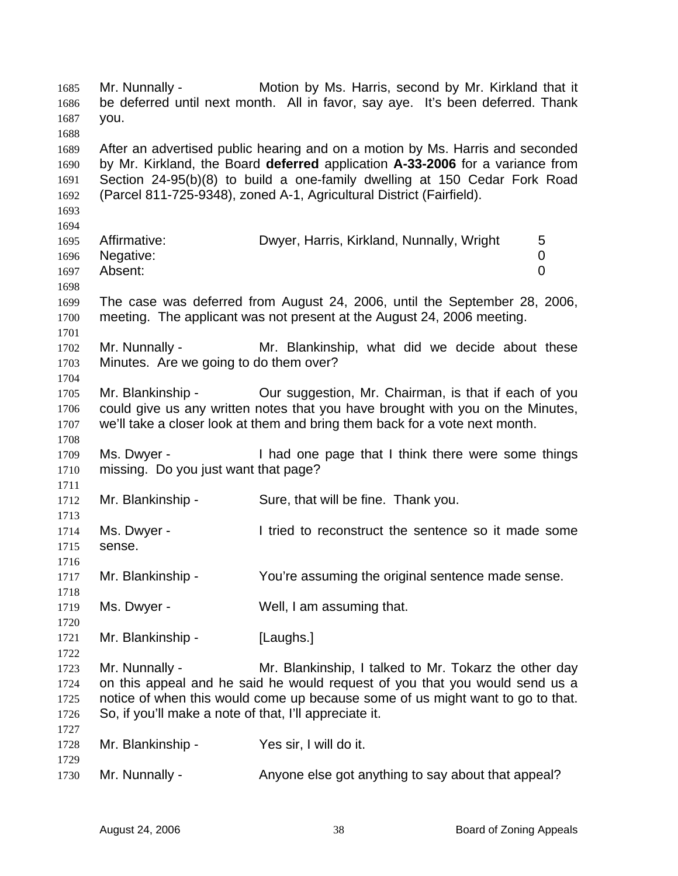Mr. Nunnally - **Motion by Ms. Harris, second by Mr. Kirkland that it** be deferred until next month. All in favor, say aye. It's been deferred. Thank you. 1685 1686 1687 1688 1689 1690 1691 1692 1693 1694 1695 1696 1697 1698 1699 1700 1701 1702 1703 1704 1705 1706 1707 1708 1709 1710 1711 1712 1713 1714 1715 1716 1717 1718 1719 1720 1721 1722 1723 1724 1725 1726 1727 1728 1729 1730 After an advertised public hearing and on a motion by Ms. Harris and seconded by Mr. Kirkland, the Board **deferred** application **A-33-2006** for a variance from Section 24-95(b)(8) to build a one-family dwelling at 150 Cedar Fork Road (Parcel 811-725-9348), zoned A-1, Agricultural District (Fairfield). Affirmative: **Dwyer, Harris, Kirkland, Nunnally, Wright** 5 Negative: 0 Absent: 0 The case was deferred from August 24, 2006, until the September 28, 2006, meeting. The applicant was not present at the August 24, 2006 meeting. Mr. Nunnally - The Mr. Blankinship, what did we decide about these Minutes. Are we going to do them over? Mr. Blankinship - Our suggestion, Mr. Chairman, is that if each of you could give us any written notes that you have brought with you on the Minutes, we'll take a closer look at them and bring them back for a vote next month. Ms. Dwyer - Thad one page that I think there were some things missing. Do you just want that page? Mr. Blankinship - Sure, that will be fine. Thank you. Ms. Dwyer - I tried to reconstruct the sentence so it made some sense. Mr. Blankinship - You're assuming the original sentence made sense. Ms. Dwyer - Well, I am assuming that. Mr. Blankinship - [Laughs.] Mr. Nunnally - Mr. Blankinship, I talked to Mr. Tokarz the other day on this appeal and he said he would request of you that you would send us a notice of when this would come up because some of us might want to go to that. So, if you'll make a note of that, I'll appreciate it. Mr. Blankinship - Yes sir, I will do it. Mr. Nunnally - Anyone else got anything to say about that appeal?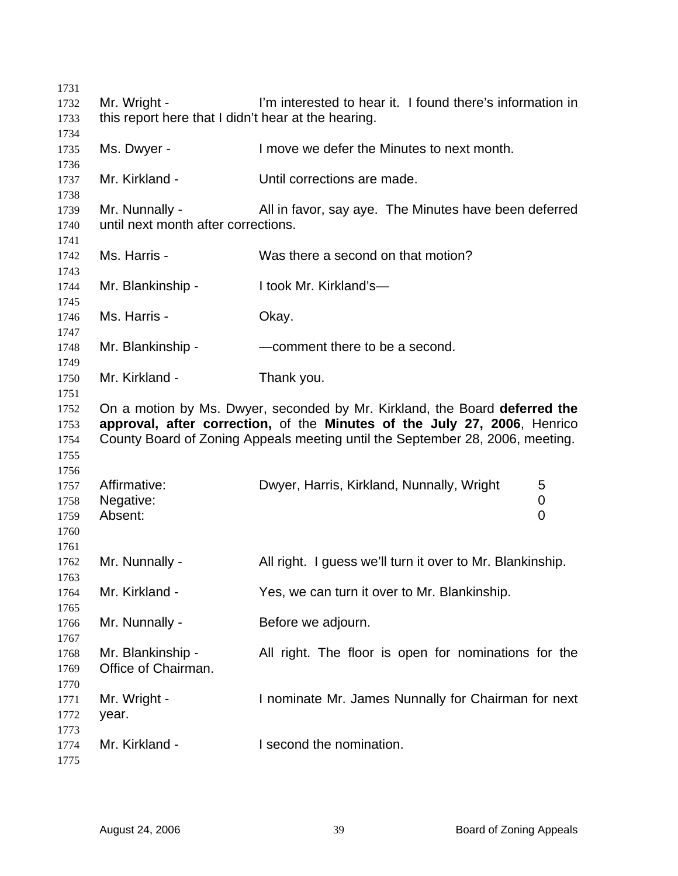| 1731 |                                                     |                                                                               |  |
|------|-----------------------------------------------------|-------------------------------------------------------------------------------|--|
| 1732 | Mr. Wright -                                        | I'm interested to hear it. I found there's information in                     |  |
| 1733 | this report here that I didn't hear at the hearing. |                                                                               |  |
| 1734 |                                                     |                                                                               |  |
| 1735 | Ms. Dwyer -                                         | I move we defer the Minutes to next month.                                    |  |
| 1736 |                                                     |                                                                               |  |
| 1737 | Mr. Kirkland -                                      | Until corrections are made.                                                   |  |
| 1738 |                                                     |                                                                               |  |
| 1739 | Mr. Nunnally -                                      | All in favor, say aye. The Minutes have been deferred                         |  |
| 1740 | until next month after corrections.                 |                                                                               |  |
| 1741 |                                                     |                                                                               |  |
| 1742 | Ms. Harris -                                        | Was there a second on that motion?                                            |  |
| 1743 |                                                     |                                                                               |  |
| 1744 | Mr. Blankinship -                                   | I took Mr. Kirkland's-                                                        |  |
| 1745 |                                                     |                                                                               |  |
| 1746 | Ms. Harris -                                        | Okay.                                                                         |  |
| 1747 |                                                     |                                                                               |  |
| 1748 | Mr. Blankinship -                                   | -comment there to be a second.                                                |  |
| 1749 |                                                     |                                                                               |  |
| 1750 | Mr. Kirkland -                                      | Thank you.                                                                    |  |
| 1751 |                                                     |                                                                               |  |
| 1752 |                                                     | On a motion by Ms. Dwyer, seconded by Mr. Kirkland, the Board deferred the    |  |
| 1753 |                                                     | approval, after correction, of the Minutes of the July 27, 2006, Henrico      |  |
| 1754 |                                                     | County Board of Zoning Appeals meeting until the September 28, 2006, meeting. |  |
| 1755 |                                                     |                                                                               |  |
| 1756 |                                                     |                                                                               |  |
| 1757 | Affirmative:                                        | Dwyer, Harris, Kirkland, Nunnally, Wright<br>5                                |  |
| 1758 | Negative:                                           | $\boldsymbol{0}$                                                              |  |
| 1759 | Absent:                                             | 0                                                                             |  |
| 1760 |                                                     |                                                                               |  |
| 1761 |                                                     |                                                                               |  |
| 1762 | Mr. Nunnally -                                      | All right. I guess we'll turn it over to Mr. Blankinship.                     |  |
| 1763 |                                                     |                                                                               |  |
| 1764 | Mr. Kirkland -                                      | Yes, we can turn it over to Mr. Blankinship.                                  |  |
| 1765 |                                                     |                                                                               |  |
| 1766 | Mr. Nunnally -                                      | Before we adjourn.                                                            |  |
| 1767 |                                                     |                                                                               |  |
| 1768 | Mr. Blankinship -                                   | All right. The floor is open for nominations for the                          |  |
| 1769 | Office of Chairman.                                 |                                                                               |  |
| 1770 |                                                     |                                                                               |  |
| 1771 | Mr. Wright -                                        | I nominate Mr. James Nunnally for Chairman for next                           |  |
| 1772 | year.                                               |                                                                               |  |
| 1773 |                                                     |                                                                               |  |
| 1774 | Mr. Kirkland -                                      | I second the nomination.                                                      |  |
| 1775 |                                                     |                                                                               |  |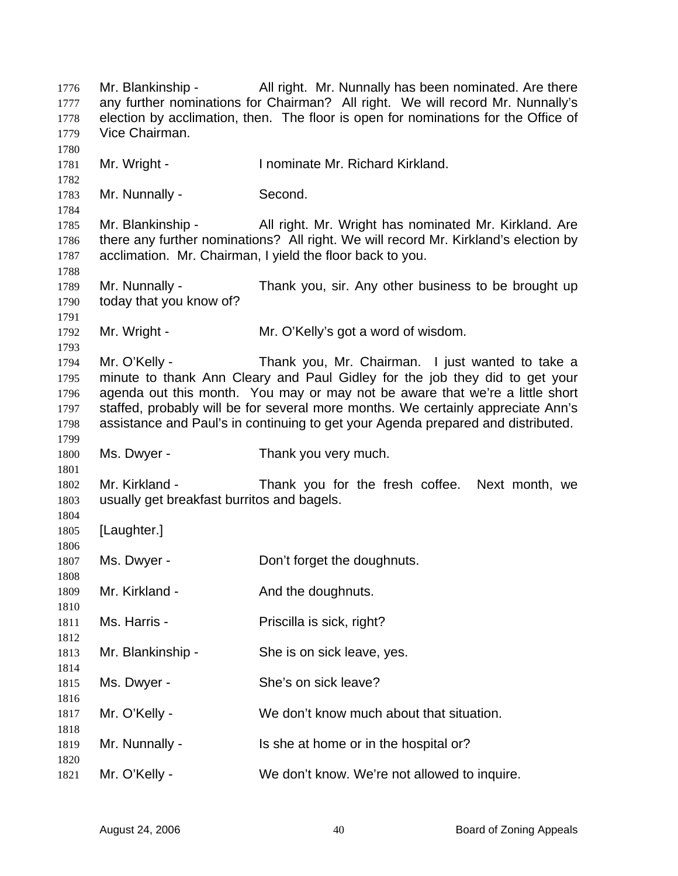Mr. Blankinship - All right. Mr. Nunnally has been nominated. Are there any further nominations for Chairman? All right. We will record Mr. Nunnally's election by acclimation, then. The floor is open for nominations for the Office of Vice Chairman. Mr. Wright - Inominate Mr. Richard Kirkland. Mr. Nunnally - Second. Mr. Blankinship - All right. Mr. Wright has nominated Mr. Kirkland. Are there any further nominations? All right. We will record Mr. Kirkland's election by acclimation. Mr. Chairman, I yield the floor back to you. Mr. Nunnally - Thank you, sir. Any other business to be brought up today that you know of? Mr. Wright - Mr. O'Kelly's got a word of wisdom. Mr. O'Kelly - Thank you, Mr. Chairman. I just wanted to take a minute to thank Ann Cleary and Paul Gidley for the job they did to get your agenda out this month. You may or may not be aware that we're a little short staffed, probably will be for several more months. We certainly appreciate Ann's assistance and Paul's in continuing to get your Agenda prepared and distributed. Ms. Dwyer - Thank you very much. Mr. Kirkland - Thank you for the fresh coffee. Next month, we usually get breakfast burritos and bagels. [Laughter.] Ms. Dwyer - **Don't forget the doughnuts.** Mr. Kirkland - The And the doughnuts. Ms. Harris - Priscilla is sick, right? Mr. Blankinship - She is on sick leave, yes. Ms. Dwyer - She's on sick leave? Mr. O'Kelly - We don't know much about that situation. Mr. Nunnally - Is she at home or in the hospital or? Mr. O'Kelly - We don't know. We're not allowed to inquire.